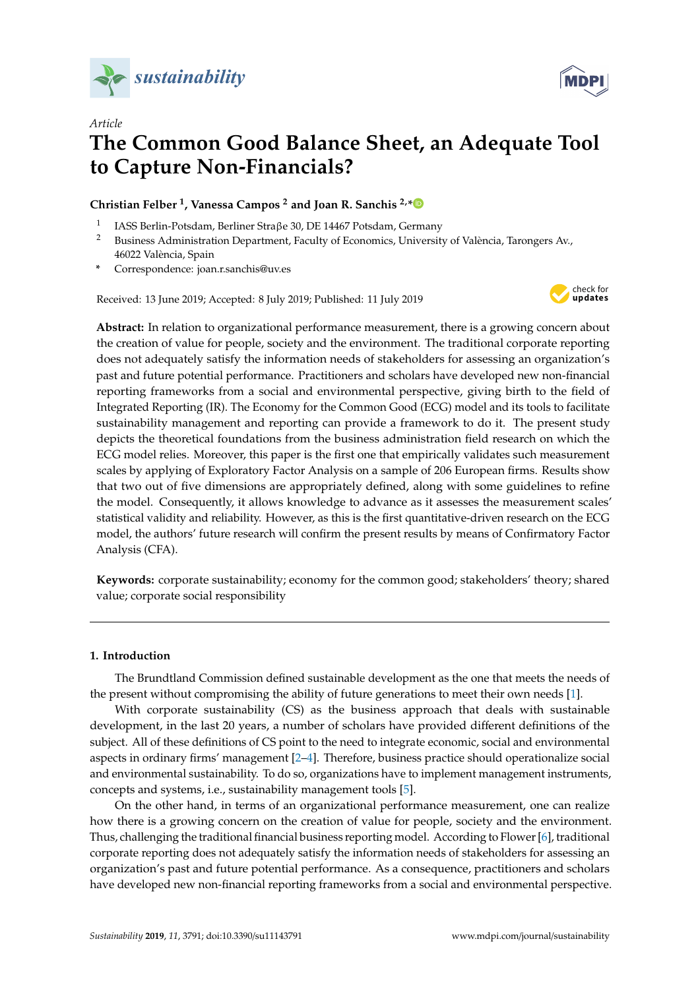

*Article*



# **The Common Good Balance Sheet, an Adequate Tool to Capture Non-Financials?**

**Christian Felber <sup>1</sup> , Vanessa Campos <sup>2</sup> and Joan R. Sanchis 2,[\\*](https://orcid.org/0000-0002-2475-3299)**

- 1 IASS Berlin-Potsdam, Berliner Straβe 30, DE 14467 Potsdam, Germany
- <sup>2</sup> Business Administration Department, Faculty of Economics, University of València, Tarongers Av., 46022 València, Spain
- **\*** Correspondence: joan.r.sanchis@uv.es

Received: 13 June 2019; Accepted: 8 July 2019; Published: 11 July 2019



**Abstract:** In relation to organizational performance measurement, there is a growing concern about the creation of value for people, society and the environment. The traditional corporate reporting does not adequately satisfy the information needs of stakeholders for assessing an organization's past and future potential performance. Practitioners and scholars have developed new non-financial reporting frameworks from a social and environmental perspective, giving birth to the field of Integrated Reporting (IR). The Economy for the Common Good (ECG) model and its tools to facilitate sustainability management and reporting can provide a framework to do it. The present study depicts the theoretical foundations from the business administration field research on which the ECG model relies. Moreover, this paper is the first one that empirically validates such measurement scales by applying of Exploratory Factor Analysis on a sample of 206 European firms. Results show that two out of five dimensions are appropriately defined, along with some guidelines to refine the model. Consequently, it allows knowledge to advance as it assesses the measurement scales' statistical validity and reliability. However, as this is the first quantitative-driven research on the ECG model, the authors' future research will confirm the present results by means of Confirmatory Factor Analysis (CFA).

**Keywords:** corporate sustainability; economy for the common good; stakeholders' theory; shared value; corporate social responsibility

#### **1. Introduction**

The Brundtland Commission defined sustainable development as the one that meets the needs of the present without compromising the ability of future generations to meet their own needs [\[1\]](#page-19-0).

With corporate sustainability (CS) as the business approach that deals with sustainable development, in the last 20 years, a number of scholars have provided different definitions of the subject. All of these definitions of CS point to the need to integrate economic, social and environmental aspects in ordinary firms' management [\[2](#page-19-1)[–4\]](#page-19-2). Therefore, business practice should operationalize social and environmental sustainability. To do so, organizations have to implement management instruments, concepts and systems, i.e., sustainability management tools [\[5\]](#page-19-3).

On the other hand, in terms of an organizational performance measurement, one can realize how there is a growing concern on the creation of value for people, society and the environment. Thus, challenging the traditional financial business reporting model. According to Flower [\[6\]](#page-19-4), traditional corporate reporting does not adequately satisfy the information needs of stakeholders for assessing an organization's past and future potential performance. As a consequence, practitioners and scholars have developed new non-financial reporting frameworks from a social and environmental perspective.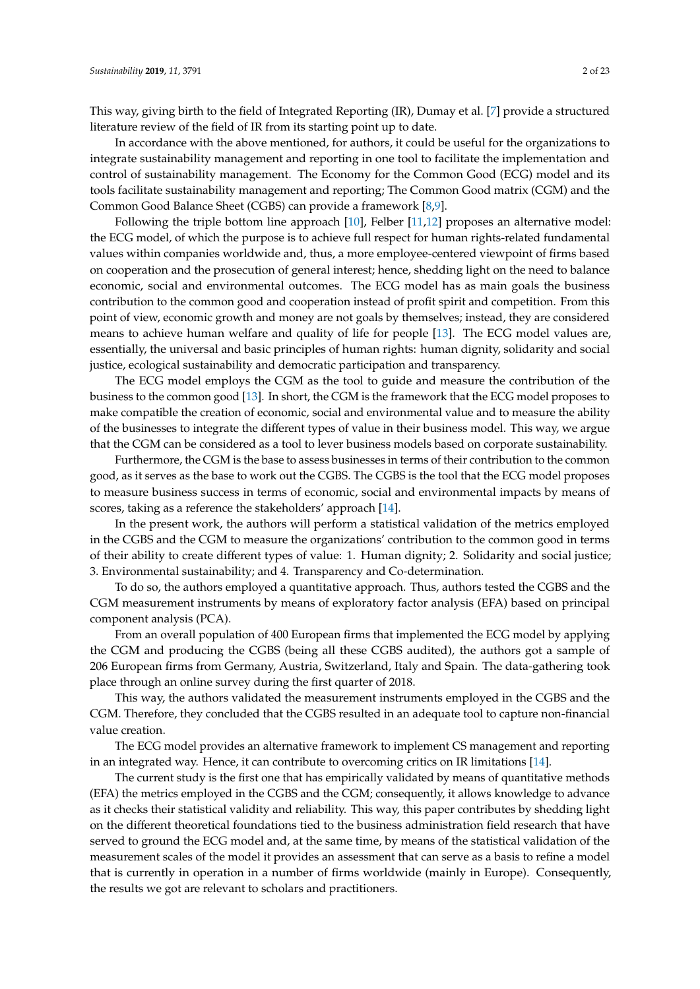This way, giving birth to the field of Integrated Reporting (IR), Dumay et al. [\[7\]](#page-19-5) provide a structured literature review of the field of IR from its starting point up to date.

In accordance with the above mentioned, for authors, it could be useful for the organizations to integrate sustainability management and reporting in one tool to facilitate the implementation and control of sustainability management. The Economy for the Common Good (ECG) model and its tools facilitate sustainability management and reporting; The Common Good matrix (CGM) and the Common Good Balance Sheet (CGBS) can provide a framework [\[8](#page-19-6)[,9\]](#page-19-7).

Following the triple bottom line approach [\[10\]](#page-19-8), Felber [\[11,](#page-19-9)[12\]](#page-19-10) proposes an alternative model: the ECG model, of which the purpose is to achieve full respect for human rights-related fundamental values within companies worldwide and, thus, a more employee-centered viewpoint of firms based on cooperation and the prosecution of general interest; hence, shedding light on the need to balance economic, social and environmental outcomes. The ECG model has as main goals the business contribution to the common good and cooperation instead of profit spirit and competition. From this point of view, economic growth and money are not goals by themselves; instead, they are considered means to achieve human welfare and quality of life for people [\[13\]](#page-19-11). The ECG model values are, essentially, the universal and basic principles of human rights: human dignity, solidarity and social justice, ecological sustainability and democratic participation and transparency.

The ECG model employs the CGM as the tool to guide and measure the contribution of the business to the common good [\[13\]](#page-19-11). In short, the CGM is the framework that the ECG model proposes to make compatible the creation of economic, social and environmental value and to measure the ability of the businesses to integrate the different types of value in their business model. This way, we argue that the CGM can be considered as a tool to lever business models based on corporate sustainability.

Furthermore, the CGM is the base to assess businesses in terms of their contribution to the common good, as it serves as the base to work out the CGBS. The CGBS is the tool that the ECG model proposes to measure business success in terms of economic, social and environmental impacts by means of scores, taking as a reference the stakeholders' approach [\[14\]](#page-19-12).

In the present work, the authors will perform a statistical validation of the metrics employed in the CGBS and the CGM to measure the organizations' contribution to the common good in terms of their ability to create different types of value: 1. Human dignity; 2. Solidarity and social justice; 3. Environmental sustainability; and 4. Transparency and Co-determination.

To do so, the authors employed a quantitative approach. Thus, authors tested the CGBS and the CGM measurement instruments by means of exploratory factor analysis (EFA) based on principal component analysis (PCA).

From an overall population of 400 European firms that implemented the ECG model by applying the CGM and producing the CGBS (being all these CGBS audited), the authors got a sample of 206 European firms from Germany, Austria, Switzerland, Italy and Spain. The data-gathering took place through an online survey during the first quarter of 2018.

This way, the authors validated the measurement instruments employed in the CGBS and the CGM. Therefore, they concluded that the CGBS resulted in an adequate tool to capture non-financial value creation.

The ECG model provides an alternative framework to implement CS management and reporting in an integrated way. Hence, it can contribute to overcoming critics on IR limitations [\[14\]](#page-19-12).

The current study is the first one that has empirically validated by means of quantitative methods (EFA) the metrics employed in the CGBS and the CGM; consequently, it allows knowledge to advance as it checks their statistical validity and reliability. This way, this paper contributes by shedding light on the different theoretical foundations tied to the business administration field research that have served to ground the ECG model and, at the same time, by means of the statistical validation of the measurement scales of the model it provides an assessment that can serve as a basis to refine a model that is currently in operation in a number of firms worldwide (mainly in Europe). Consequently, the results we got are relevant to scholars and practitioners.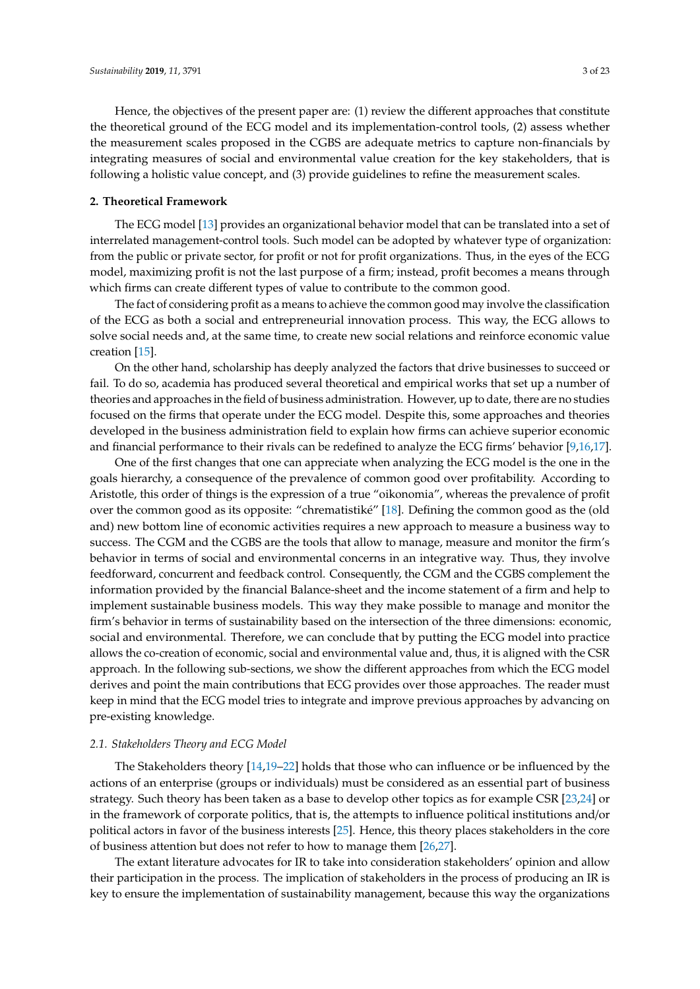Hence, the objectives of the present paper are: (1) review the different approaches that constitute the theoretical ground of the ECG model and its implementation-control tools, (2) assess whether the measurement scales proposed in the CGBS are adequate metrics to capture non-financials by integrating measures of social and environmental value creation for the key stakeholders, that is following a holistic value concept, and (3) provide guidelines to refine the measurement scales.

#### **2. Theoretical Framework**

The ECG model [\[13\]](#page-19-11) provides an organizational behavior model that can be translated into a set of interrelated management-control tools. Such model can be adopted by whatever type of organization: from the public or private sector, for profit or not for profit organizations. Thus, in the eyes of the ECG model, maximizing profit is not the last purpose of a firm; instead, profit becomes a means through which firms can create different types of value to contribute to the common good.

The fact of considering profit as a means to achieve the common good may involve the classification of the ECG as both a social and entrepreneurial innovation process. This way, the ECG allows to solve social needs and, at the same time, to create new social relations and reinforce economic value creation [\[15\]](#page-19-13).

On the other hand, scholarship has deeply analyzed the factors that drive businesses to succeed or fail. To do so, academia has produced several theoretical and empirical works that set up a number of theories and approaches in the field of business administration. However, up to date, there are no studies focused on the firms that operate under the ECG model. Despite this, some approaches and theories developed in the business administration field to explain how firms can achieve superior economic and financial performance to their rivals can be redefined to analyze the ECG firms' behavior [\[9](#page-19-7)[,16](#page-19-14)[,17\]](#page-19-15).

One of the first changes that one can appreciate when analyzing the ECG model is the one in the goals hierarchy, a consequence of the prevalence of common good over profitability. According to Aristotle, this order of things is the expression of a true "oikonomia", whereas the prevalence of profit over the common good as its opposite: "chrematistiké" [\[18\]](#page-19-16). Defining the common good as the (old and) new bottom line of economic activities requires a new approach to measure a business way to success. The CGM and the CGBS are the tools that allow to manage, measure and monitor the firm's behavior in terms of social and environmental concerns in an integrative way. Thus, they involve feedforward, concurrent and feedback control. Consequently, the CGM and the CGBS complement the information provided by the financial Balance-sheet and the income statement of a firm and help to implement sustainable business models. This way they make possible to manage and monitor the firm's behavior in terms of sustainability based on the intersection of the three dimensions: economic, social and environmental. Therefore, we can conclude that by putting the ECG model into practice allows the co-creation of economic, social and environmental value and, thus, it is aligned with the CSR approach. In the following sub-sections, we show the different approaches from which the ECG model derives and point the main contributions that ECG provides over those approaches. The reader must keep in mind that the ECG model tries to integrate and improve previous approaches by advancing on pre-existing knowledge.

#### *2.1. Stakeholders Theory and ECG Model*

The Stakeholders theory [\[14](#page-19-12)[,19–](#page-19-17)[22\]](#page-19-18) holds that those who can influence or be influenced by the actions of an enterprise (groups or individuals) must be considered as an essential part of business strategy. Such theory has been taken as a base to develop other topics as for example CSR [\[23,](#page-19-19)[24\]](#page-19-20) or in the framework of corporate politics, that is, the attempts to influence political institutions and/or political actors in favor of the business interests [\[25\]](#page-19-21). Hence, this theory places stakeholders in the core of business attention but does not refer to how to manage them [\[26](#page-19-22)[,27\]](#page-20-0).

The extant literature advocates for IR to take into consideration stakeholders' opinion and allow their participation in the process. The implication of stakeholders in the process of producing an IR is key to ensure the implementation of sustainability management, because this way the organizations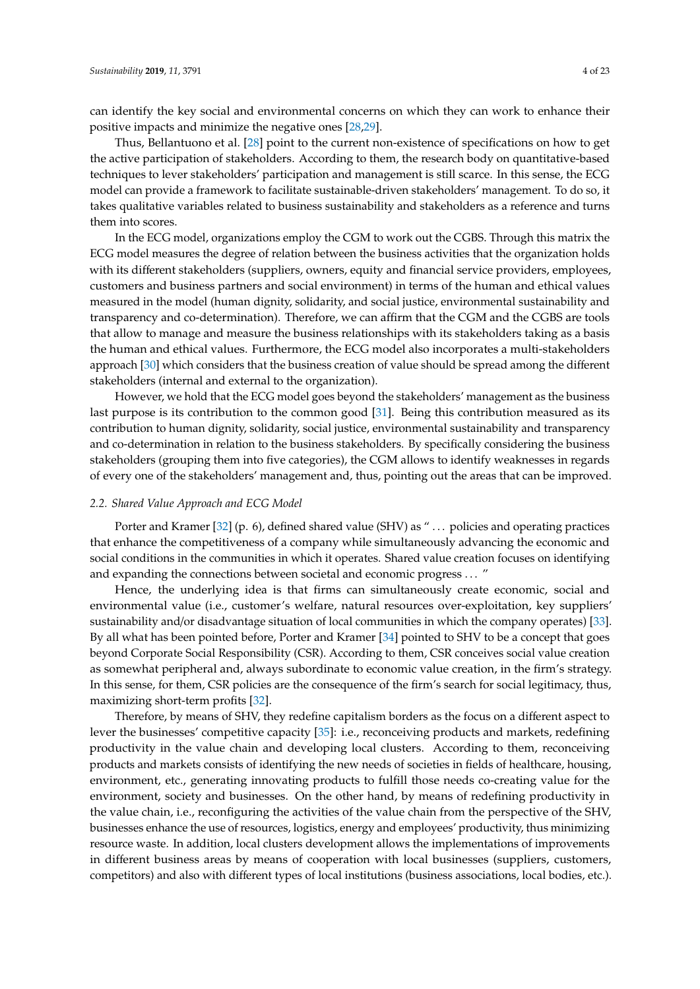can identify the key social and environmental concerns on which they can work to enhance their positive impacts and minimize the negative ones [\[28,](#page-20-1)[29\]](#page-20-2).

Thus, Bellantuono et al. [\[28\]](#page-20-1) point to the current non-existence of specifications on how to get the active participation of stakeholders. According to them, the research body on quantitative-based techniques to lever stakeholders' participation and management is still scarce. In this sense, the ECG model can provide a framework to facilitate sustainable-driven stakeholders' management. To do so, it takes qualitative variables related to business sustainability and stakeholders as a reference and turns them into scores.

In the ECG model, organizations employ the CGM to work out the CGBS. Through this matrix the ECG model measures the degree of relation between the business activities that the organization holds with its different stakeholders (suppliers, owners, equity and financial service providers, employees, customers and business partners and social environment) in terms of the human and ethical values measured in the model (human dignity, solidarity, and social justice, environmental sustainability and transparency and co-determination). Therefore, we can affirm that the CGM and the CGBS are tools that allow to manage and measure the business relationships with its stakeholders taking as a basis the human and ethical values. Furthermore, the ECG model also incorporates a multi-stakeholders approach [\[30\]](#page-20-3) which considers that the business creation of value should be spread among the different stakeholders (internal and external to the organization).

However, we hold that the ECG model goes beyond the stakeholders' management as the business last purpose is its contribution to the common good [\[31\]](#page-20-4). Being this contribution measured as its contribution to human dignity, solidarity, social justice, environmental sustainability and transparency and co-determination in relation to the business stakeholders. By specifically considering the business stakeholders (grouping them into five categories), the CGM allows to identify weaknesses in regards of every one of the stakeholders' management and, thus, pointing out the areas that can be improved.

#### *2.2. Shared Value Approach and ECG Model*

Porter and Kramer [\[32\]](#page-20-5) (p. 6), defined shared value (SHV) as "... policies and operating practices that enhance the competitiveness of a company while simultaneously advancing the economic and social conditions in the communities in which it operates. Shared value creation focuses on identifying and expanding the connections between societal and economic progress . . . "

Hence, the underlying idea is that firms can simultaneously create economic, social and environmental value (i.e., customer's welfare, natural resources over-exploitation, key suppliers' sustainability and/or disadvantage situation of local communities in which the company operates) [\[33\]](#page-20-6). By all what has been pointed before, Porter and Kramer [\[34\]](#page-20-7) pointed to SHV to be a concept that goes beyond Corporate Social Responsibility (CSR). According to them, CSR conceives social value creation as somewhat peripheral and, always subordinate to economic value creation, in the firm's strategy. In this sense, for them, CSR policies are the consequence of the firm's search for social legitimacy, thus, maximizing short-term profits [\[32\]](#page-20-5).

Therefore, by means of SHV, they redefine capitalism borders as the focus on a different aspect to lever the businesses' competitive capacity [\[35\]](#page-20-8): i.e., reconceiving products and markets, redefining productivity in the value chain and developing local clusters. According to them, reconceiving products and markets consists of identifying the new needs of societies in fields of healthcare, housing, environment, etc., generating innovating products to fulfill those needs co-creating value for the environment, society and businesses. On the other hand, by means of redefining productivity in the value chain, i.e., reconfiguring the activities of the value chain from the perspective of the SHV, businesses enhance the use of resources, logistics, energy and employees' productivity, thus minimizing resource waste. In addition, local clusters development allows the implementations of improvements in different business areas by means of cooperation with local businesses (suppliers, customers, competitors) and also with different types of local institutions (business associations, local bodies, etc.).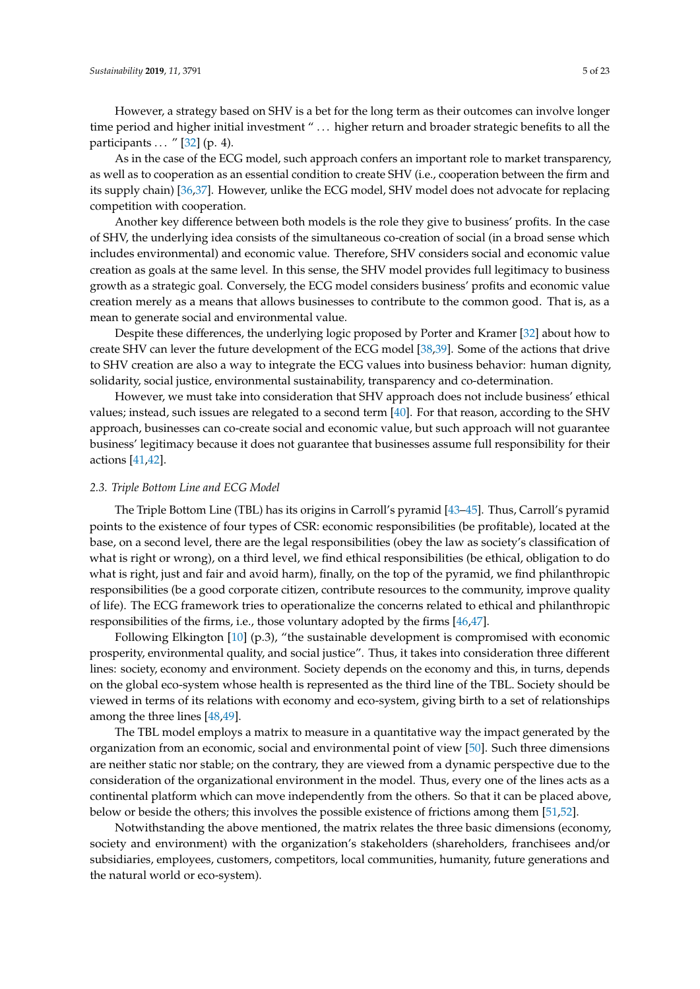However, a strategy based on SHV is a bet for the long term as their outcomes can involve longer time period and higher initial investment " . . . higher return and broader strategic benefits to all the participants ... " [\[32\]](#page-20-5) (p. 4).

As in the case of the ECG model, such approach confers an important role to market transparency, as well as to cooperation as an essential condition to create SHV (i.e., cooperation between the firm and its supply chain) [\[36](#page-20-9)[,37\]](#page-20-10). However, unlike the ECG model, SHV model does not advocate for replacing competition with cooperation.

Another key difference between both models is the role they give to business' profits. In the case of SHV, the underlying idea consists of the simultaneous co-creation of social (in a broad sense which includes environmental) and economic value. Therefore, SHV considers social and economic value creation as goals at the same level. In this sense, the SHV model provides full legitimacy to business growth as a strategic goal. Conversely, the ECG model considers business' profits and economic value creation merely as a means that allows businesses to contribute to the common good. That is, as a mean to generate social and environmental value.

Despite these differences, the underlying logic proposed by Porter and Kramer [\[32\]](#page-20-5) about how to create SHV can lever the future development of the ECG model [\[38](#page-20-11)[,39\]](#page-20-12). Some of the actions that drive to SHV creation are also a way to integrate the ECG values into business behavior: human dignity, solidarity, social justice, environmental sustainability, transparency and co-determination.

However, we must take into consideration that SHV approach does not include business' ethical values; instead, such issues are relegated to a second term [\[40\]](#page-20-13). For that reason, according to the SHV approach, businesses can co-create social and economic value, but such approach will not guarantee business' legitimacy because it does not guarantee that businesses assume full responsibility for their actions [\[41](#page-20-14)[,42\]](#page-20-15).

#### *2.3. Triple Bottom Line and ECG Model*

The Triple Bottom Line (TBL) has its origins in Carroll's pyramid [\[43](#page-20-16)[–45\]](#page-20-17). Thus, Carroll's pyramid points to the existence of four types of CSR: economic responsibilities (be profitable), located at the base, on a second level, there are the legal responsibilities (obey the law as society's classification of what is right or wrong), on a third level, we find ethical responsibilities (be ethical, obligation to do what is right, just and fair and avoid harm), finally, on the top of the pyramid, we find philanthropic responsibilities (be a good corporate citizen, contribute resources to the community, improve quality of life). The ECG framework tries to operationalize the concerns related to ethical and philanthropic responsibilities of the firms, i.e., those voluntary adopted by the firms [\[46,](#page-20-18)[47\]](#page-20-19).

Following Elkington [\[10\]](#page-19-8) (p.3), "the sustainable development is compromised with economic prosperity, environmental quality, and social justice". Thus, it takes into consideration three different lines: society, economy and environment. Society depends on the economy and this, in turns, depends on the global eco-system whose health is represented as the third line of the TBL. Society should be viewed in terms of its relations with economy and eco-system, giving birth to a set of relationships among the three lines [\[48,](#page-20-20)[49\]](#page-20-21).

The TBL model employs a matrix to measure in a quantitative way the impact generated by the organization from an economic, social and environmental point of view [\[50\]](#page-20-22). Such three dimensions are neither static nor stable; on the contrary, they are viewed from a dynamic perspective due to the consideration of the organizational environment in the model. Thus, every one of the lines acts as a continental platform which can move independently from the others. So that it can be placed above, below or beside the others; this involves the possible existence of frictions among them [\[51](#page-20-23)[,52\]](#page-20-24).

Notwithstanding the above mentioned, the matrix relates the three basic dimensions (economy, society and environment) with the organization's stakeholders (shareholders, franchisees and/or subsidiaries, employees, customers, competitors, local communities, humanity, future generations and the natural world or eco-system).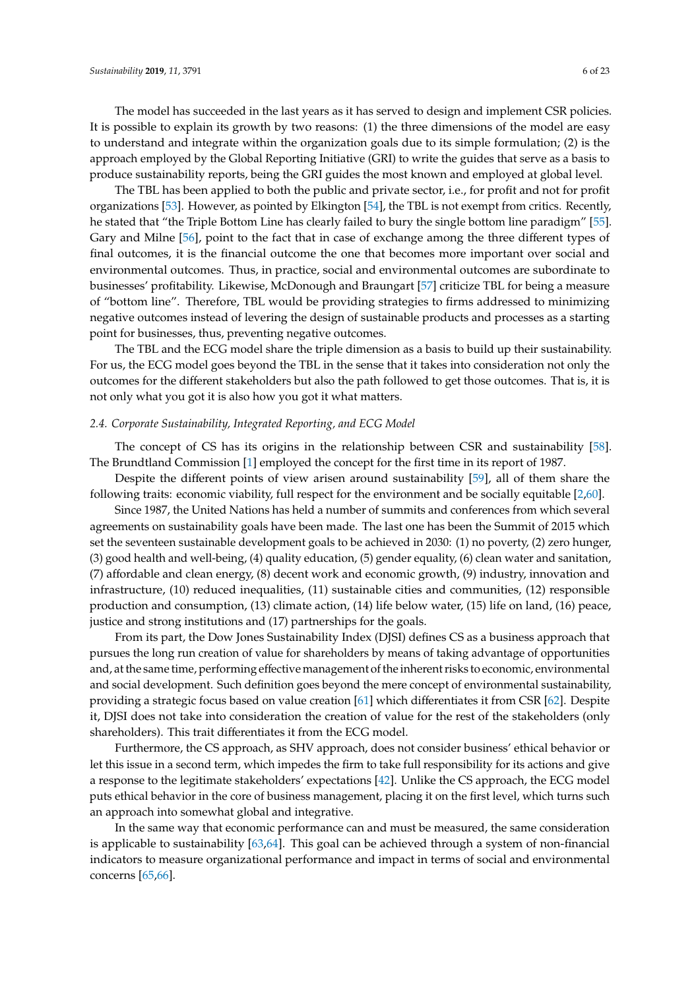The model has succeeded in the last years as it has served to design and implement CSR policies. It is possible to explain its growth by two reasons: (1) the three dimensions of the model are easy to understand and integrate within the organization goals due to its simple formulation; (2) is the approach employed by the Global Reporting Initiative (GRI) to write the guides that serve as a basis to produce sustainability reports, being the GRI guides the most known and employed at global level.

The TBL has been applied to both the public and private sector, i.e., for profit and not for profit organizations [\[53\]](#page-20-25). However, as pointed by Elkington [\[54\]](#page-20-26), the TBL is not exempt from critics. Recently, he stated that "the Triple Bottom Line has clearly failed to bury the single bottom line paradigm" [\[55\]](#page-21-0). Gary and Milne [\[56\]](#page-21-1), point to the fact that in case of exchange among the three different types of final outcomes, it is the financial outcome the one that becomes more important over social and environmental outcomes. Thus, in practice, social and environmental outcomes are subordinate to businesses' profitability. Likewise, McDonough and Braungart [\[57\]](#page-21-2) criticize TBL for being a measure of "bottom line". Therefore, TBL would be providing strategies to firms addressed to minimizing negative outcomes instead of levering the design of sustainable products and processes as a starting point for businesses, thus, preventing negative outcomes.

The TBL and the ECG model share the triple dimension as a basis to build up their sustainability. For us, the ECG model goes beyond the TBL in the sense that it takes into consideration not only the outcomes for the different stakeholders but also the path followed to get those outcomes. That is, it is not only what you got it is also how you got it what matters.

#### *2.4. Corporate Sustainability, Integrated Reporting, and ECG Model*

The concept of CS has its origins in the relationship between CSR and sustainability [\[58\]](#page-21-3). The Brundtland Commission [\[1\]](#page-19-0) employed the concept for the first time in its report of 1987.

Despite the different points of view arisen around sustainability [\[59\]](#page-21-4), all of them share the following traits: economic viability, full respect for the environment and be socially equitable [\[2](#page-19-1)[,60\]](#page-21-5).

Since 1987, the United Nations has held a number of summits and conferences from which several agreements on sustainability goals have been made. The last one has been the Summit of 2015 which set the seventeen sustainable development goals to be achieved in 2030: (1) no poverty, (2) zero hunger, (3) good health and well-being, (4) quality education, (5) gender equality, (6) clean water and sanitation, (7) affordable and clean energy, (8) decent work and economic growth, (9) industry, innovation and infrastructure, (10) reduced inequalities, (11) sustainable cities and communities, (12) responsible production and consumption, (13) climate action, (14) life below water, (15) life on land, (16) peace, justice and strong institutions and (17) partnerships for the goals.

From its part, the Dow Jones Sustainability Index (DJSI) defines CS as a business approach that pursues the long run creation of value for shareholders by means of taking advantage of opportunities and, at the same time, performing effective management of the inherent risks to economic, environmental and social development. Such definition goes beyond the mere concept of environmental sustainability, providing a strategic focus based on value creation [\[61\]](#page-21-6) which differentiates it from CSR [\[62\]](#page-21-7). Despite it, DJSI does not take into consideration the creation of value for the rest of the stakeholders (only shareholders). This trait differentiates it from the ECG model.

Furthermore, the CS approach, as SHV approach, does not consider business' ethical behavior or let this issue in a second term, which impedes the firm to take full responsibility for its actions and give a response to the legitimate stakeholders' expectations [\[42\]](#page-20-15). Unlike the CS approach, the ECG model puts ethical behavior in the core of business management, placing it on the first level, which turns such an approach into somewhat global and integrative.

In the same way that economic performance can and must be measured, the same consideration is applicable to sustainability [\[63,](#page-21-8)[64\]](#page-21-9). This goal can be achieved through a system of non-financial indicators to measure organizational performance and impact in terms of social and environmental concerns [\[65,](#page-21-10)[66\]](#page-21-11).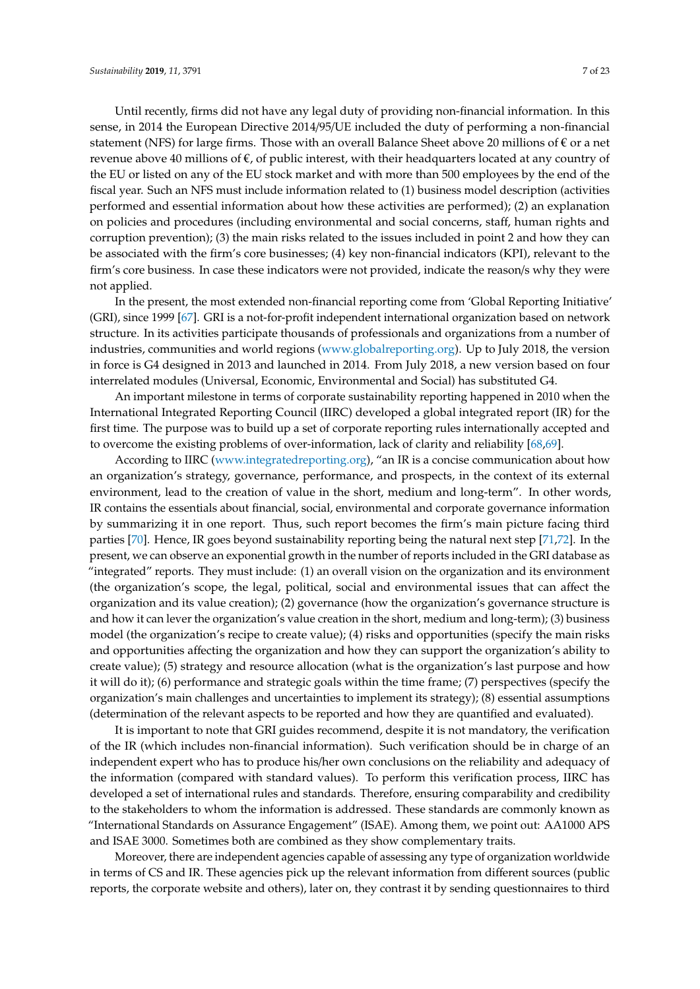Until recently, firms did not have any legal duty of providing non-financial information. In this sense, in 2014 the European Directive 2014/95/UE included the duty of performing a non-financial statement (NFS) for large firms. Those with an overall Balance Sheet above 20 millions of  $\epsilon$  or a net revenue above 40 millions of  $\epsilon$ , of public interest, with their headquarters located at any country of the EU or listed on any of the EU stock market and with more than 500 employees by the end of the fiscal year. Such an NFS must include information related to (1) business model description (activities performed and essential information about how these activities are performed); (2) an explanation on policies and procedures (including environmental and social concerns, staff, human rights and corruption prevention); (3) the main risks related to the issues included in point 2 and how they can be associated with the firm's core businesses; (4) key non-financial indicators (KPI), relevant to the firm's core business. In case these indicators were not provided, indicate the reason/s why they were not applied.

In the present, the most extended non-financial reporting come from 'Global Reporting Initiative' (GRI), since 1999 [\[67\]](#page-21-12). GRI is a not-for-profit independent international organization based on network structure. In its activities participate thousands of professionals and organizations from a number of industries, communities and world regions [\(www.globalreporting.org\)](www.globalreporting.org). Up to July 2018, the version in force is G4 designed in 2013 and launched in 2014. From July 2018, a new version based on four interrelated modules (Universal, Economic, Environmental and Social) has substituted G4.

An important milestone in terms of corporate sustainability reporting happened in 2010 when the International Integrated Reporting Council (IIRC) developed a global integrated report (IR) for the first time. The purpose was to build up a set of corporate reporting rules internationally accepted and to overcome the existing problems of over-information, lack of clarity and reliability [\[68,](#page-21-13)[69\]](#page-21-14).

According to IIRC [\(www.integratedreporting.org\)](www.integratedreporting.org), "an IR is a concise communication about how an organization's strategy, governance, performance, and prospects, in the context of its external environment, lead to the creation of value in the short, medium and long-term". In other words, IR contains the essentials about financial, social, environmental and corporate governance information by summarizing it in one report. Thus, such report becomes the firm's main picture facing third parties [\[70\]](#page-21-15). Hence, IR goes beyond sustainability reporting being the natural next step [\[71,](#page-21-16)[72\]](#page-21-17). In the present, we can observe an exponential growth in the number of reports included in the GRI database as "integrated" reports. They must include: (1) an overall vision on the organization and its environment (the organization's scope, the legal, political, social and environmental issues that can affect the organization and its value creation); (2) governance (how the organization's governance structure is and how it can lever the organization's value creation in the short, medium and long-term); (3) business model (the organization's recipe to create value); (4) risks and opportunities (specify the main risks and opportunities affecting the organization and how they can support the organization's ability to create value); (5) strategy and resource allocation (what is the organization's last purpose and how it will do it); (6) performance and strategic goals within the time frame; (7) perspectives (specify the organization's main challenges and uncertainties to implement its strategy); (8) essential assumptions (determination of the relevant aspects to be reported and how they are quantified and evaluated).

It is important to note that GRI guides recommend, despite it is not mandatory, the verification of the IR (which includes non-financial information). Such verification should be in charge of an independent expert who has to produce his/her own conclusions on the reliability and adequacy of the information (compared with standard values). To perform this verification process, IIRC has developed a set of international rules and standards. Therefore, ensuring comparability and credibility to the stakeholders to whom the information is addressed. These standards are commonly known as "International Standards on Assurance Engagement" (ISAE). Among them, we point out: AA1000 APS and ISAE 3000. Sometimes both are combined as they show complementary traits.

Moreover, there are independent agencies capable of assessing any type of organization worldwide in terms of CS and IR. These agencies pick up the relevant information from different sources (public reports, the corporate website and others), later on, they contrast it by sending questionnaires to third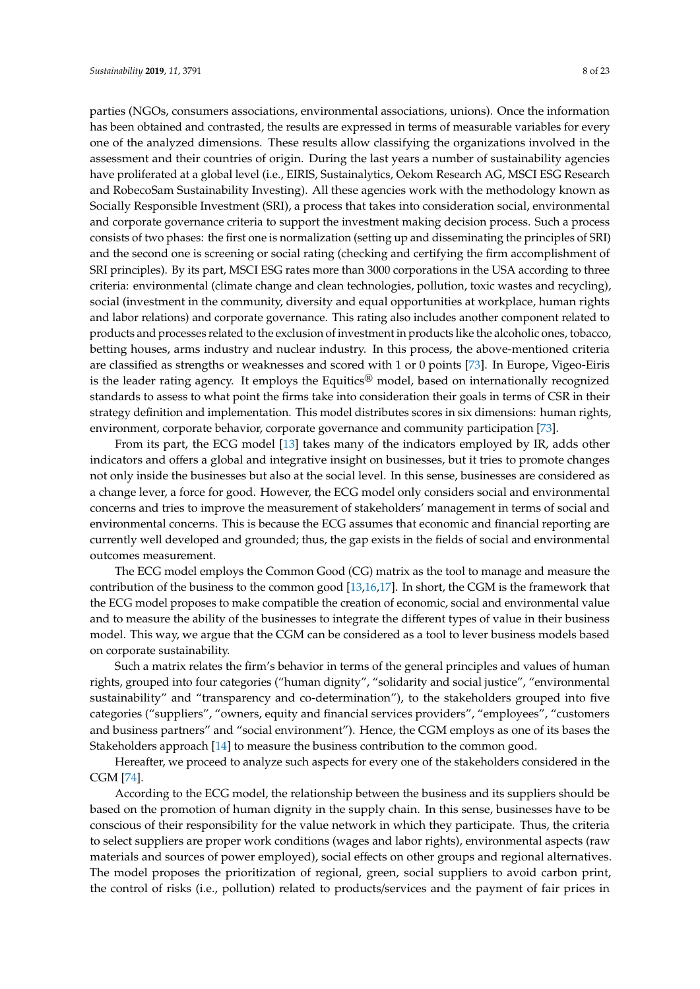parties (NGOs, consumers associations, environmental associations, unions). Once the information has been obtained and contrasted, the results are expressed in terms of measurable variables for every one of the analyzed dimensions. These results allow classifying the organizations involved in the assessment and their countries of origin. During the last years a number of sustainability agencies have proliferated at a global level (i.e., EIRIS, Sustainalytics, Oekom Research AG, MSCI ESG Research and RobecoSam Sustainability Investing). All these agencies work with the methodology known as Socially Responsible Investment (SRI), a process that takes into consideration social, environmental and corporate governance criteria to support the investment making decision process. Such a process consists of two phases: the first one is normalization (setting up and disseminating the principles of SRI) and the second one is screening or social rating (checking and certifying the firm accomplishment of SRI principles). By its part, MSCI ESG rates more than 3000 corporations in the USA according to three criteria: environmental (climate change and clean technologies, pollution, toxic wastes and recycling), social (investment in the community, diversity and equal opportunities at workplace, human rights and labor relations) and corporate governance. This rating also includes another component related to products and processes related to the exclusion of investment in products like the alcoholic ones, tobacco, betting houses, arms industry and nuclear industry. In this process, the above-mentioned criteria are classified as strengths or weaknesses and scored with 1 or 0 points [\[73\]](#page-21-18). In Europe, Vigeo-Eiris is the leader rating agency. It employs the Equitics<sup>®</sup> model, based on internationally recognized standards to assess to what point the firms take into consideration their goals in terms of CSR in their strategy definition and implementation. This model distributes scores in six dimensions: human rights, environment, corporate behavior, corporate governance and community participation [\[73\]](#page-21-18).

From its part, the ECG model [\[13\]](#page-19-11) takes many of the indicators employed by IR, adds other indicators and offers a global and integrative insight on businesses, but it tries to promote changes not only inside the businesses but also at the social level. In this sense, businesses are considered as a change lever, a force for good. However, the ECG model only considers social and environmental concerns and tries to improve the measurement of stakeholders' management in terms of social and environmental concerns. This is because the ECG assumes that economic and financial reporting are currently well developed and grounded; thus, the gap exists in the fields of social and environmental outcomes measurement.

The ECG model employs the Common Good (CG) matrix as the tool to manage and measure the contribution of the business to the common good [\[13](#page-19-11)[,16](#page-19-14)[,17\]](#page-19-15). In short, the CGM is the framework that the ECG model proposes to make compatible the creation of economic, social and environmental value and to measure the ability of the businesses to integrate the different types of value in their business model. This way, we argue that the CGM can be considered as a tool to lever business models based on corporate sustainability.

Such a matrix relates the firm's behavior in terms of the general principles and values of human rights, grouped into four categories ("human dignity", "solidarity and social justice", "environmental sustainability" and "transparency and co-determination"), to the stakeholders grouped into five categories ("suppliers", "owners, equity and financial services providers", "employees", "customers and business partners" and "social environment"). Hence, the CGM employs as one of its bases the Stakeholders approach [\[14\]](#page-19-12) to measure the business contribution to the common good.

Hereafter, we proceed to analyze such aspects for every one of the stakeholders considered in the CGM [\[74\]](#page-21-19).

According to the ECG model, the relationship between the business and its suppliers should be based on the promotion of human dignity in the supply chain. In this sense, businesses have to be conscious of their responsibility for the value network in which they participate. Thus, the criteria to select suppliers are proper work conditions (wages and labor rights), environmental aspects (raw materials and sources of power employed), social effects on other groups and regional alternatives. The model proposes the prioritization of regional, green, social suppliers to avoid carbon print, the control of risks (i.e., pollution) related to products/services and the payment of fair prices in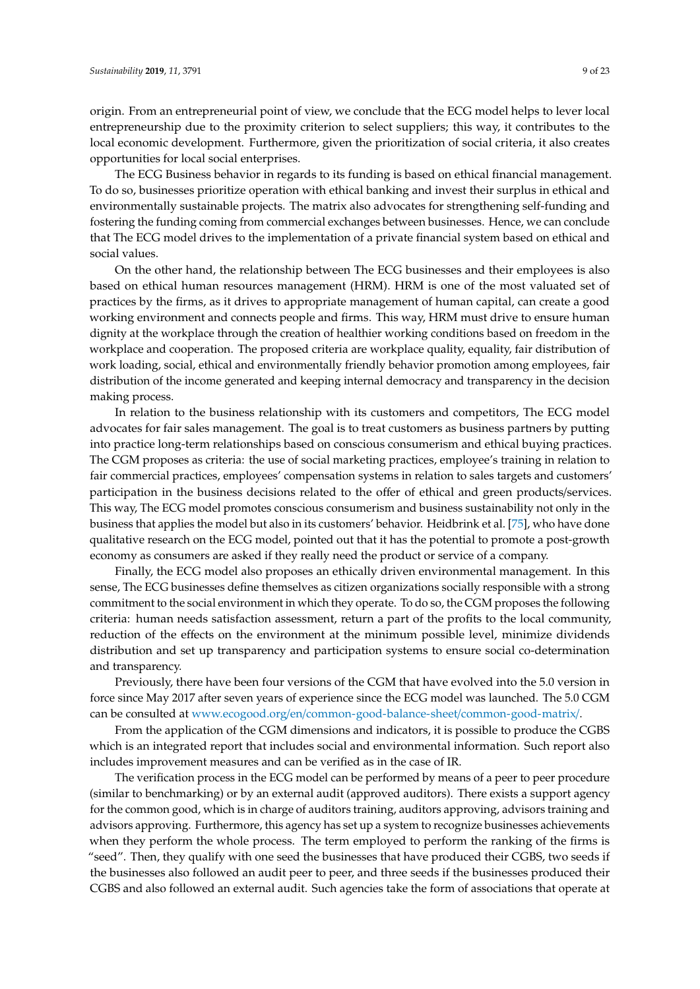origin. From an entrepreneurial point of view, we conclude that the ECG model helps to lever local entrepreneurship due to the proximity criterion to select suppliers; this way, it contributes to the local economic development. Furthermore, given the prioritization of social criteria, it also creates opportunities for local social enterprises.

The ECG Business behavior in regards to its funding is based on ethical financial management. To do so, businesses prioritize operation with ethical banking and invest their surplus in ethical and environmentally sustainable projects. The matrix also advocates for strengthening self-funding and fostering the funding coming from commercial exchanges between businesses. Hence, we can conclude that The ECG model drives to the implementation of a private financial system based on ethical and social values.

On the other hand, the relationship between The ECG businesses and their employees is also based on ethical human resources management (HRM). HRM is one of the most valuated set of practices by the firms, as it drives to appropriate management of human capital, can create a good working environment and connects people and firms. This way, HRM must drive to ensure human dignity at the workplace through the creation of healthier working conditions based on freedom in the workplace and cooperation. The proposed criteria are workplace quality, equality, fair distribution of work loading, social, ethical and environmentally friendly behavior promotion among employees, fair distribution of the income generated and keeping internal democracy and transparency in the decision making process.

In relation to the business relationship with its customers and competitors, The ECG model advocates for fair sales management. The goal is to treat customers as business partners by putting into practice long-term relationships based on conscious consumerism and ethical buying practices. The CGM proposes as criteria: the use of social marketing practices, employee's training in relation to fair commercial practices, employees' compensation systems in relation to sales targets and customers' participation in the business decisions related to the offer of ethical and green products/services. This way, The ECG model promotes conscious consumerism and business sustainability not only in the business that applies the model but also in its customers' behavior. Heidbrink et al. [\[75\]](#page-21-20), who have done qualitative research on the ECG model, pointed out that it has the potential to promote a post-growth economy as consumers are asked if they really need the product or service of a company.

Finally, the ECG model also proposes an ethically driven environmental management. In this sense, The ECG businesses define themselves as citizen organizations socially responsible with a strong commitment to the social environment in which they operate. To do so, the CGM proposes the following criteria: human needs satisfaction assessment, return a part of the profits to the local community, reduction of the effects on the environment at the minimum possible level, minimize dividends distribution and set up transparency and participation systems to ensure social co-determination and transparency.

Previously, there have been four versions of the CGM that have evolved into the 5.0 version in force since May 2017 after seven years of experience since the ECG model was launched. The 5.0 CGM can be consulted at www.ecogood.org/en/[common-good-balance-sheet](www.ecogood.org/en/common-good-balance-sheet/common-good-matrix/)/common-good-matrix/.

From the application of the CGM dimensions and indicators, it is possible to produce the CGBS which is an integrated report that includes social and environmental information. Such report also includes improvement measures and can be verified as in the case of IR.

The verification process in the ECG model can be performed by means of a peer to peer procedure (similar to benchmarking) or by an external audit (approved auditors). There exists a support agency for the common good, which is in charge of auditors training, auditors approving, advisors training and advisors approving. Furthermore, this agency has set up a system to recognize businesses achievements when they perform the whole process. The term employed to perform the ranking of the firms is "seed". Then, they qualify with one seed the businesses that have produced their CGBS, two seeds if the businesses also followed an audit peer to peer, and three seeds if the businesses produced their CGBS and also followed an external audit. Such agencies take the form of associations that operate at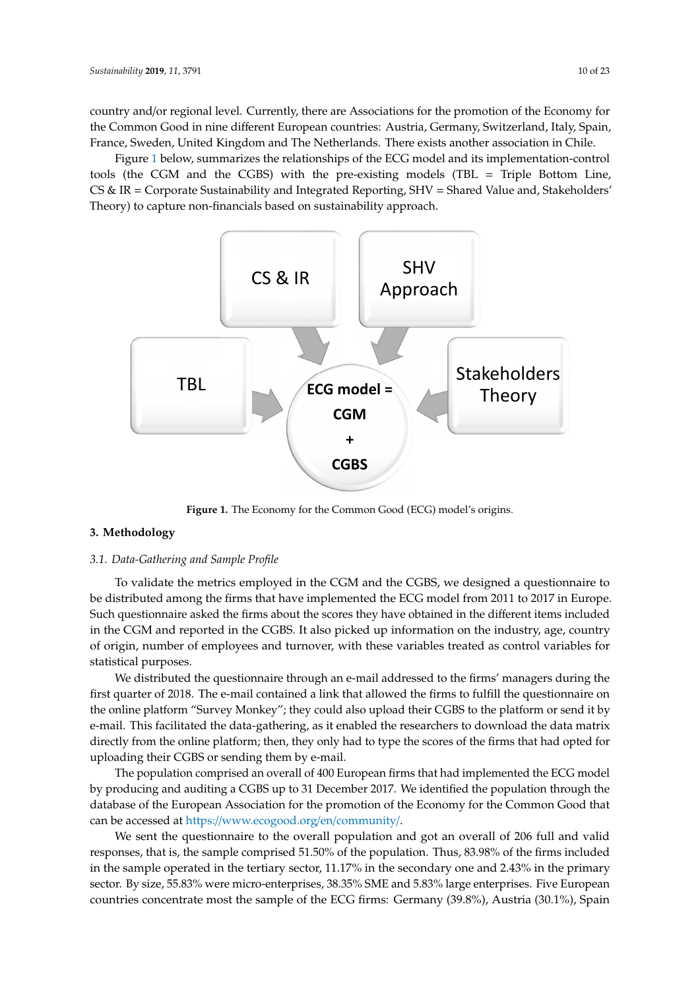country and/or regional level. Currently, there are Associations for the promotion of the Economy for the Common Good in nine different European countries: Austria, Germany, Switzerland, Italy, Spain, France, Sweden, United Kingdom and The Netherlands. There exists another association in Chile.

Figure 1 below, summarizes the relationships of the ECG model and its implementation-control tools (the CGM and the CGBS) with the pre-existing models (TBL = Triple Bottom Line, CS & IR = Corporate Sustainability and Integrated Reporting, SHV = Shared Value and, Stakeholders' Theory) to capture non-financials based on sustainability approach. to capture non-financials based on sustainability approach.

<span id="page-9-0"></span>

**Figure 1.** The Economy for the Common Good (ECG) model's origins. **Figure 1.** The Economy for the Common Good (ECG) model's origins.

## **3. Methodology 3. Methodology**

#### <span id="page-9-1"></span>*3.1. Data-Gathering and Sample Profile 3.1. Data-Gathering and Sample Profile*

be distributed among the firms that have implemented the ECG model from 2011 to 2017 in Europe. Such questionnaire asked the firms about the scores they have obtained in the different items included in the CGM and reported in the CGBS. It also picked up information on the industry, age, country of origin, number of employees and turnover, with these variables treated as control variables for countries and turnover, number of employees and turnover, with the statistical purposes. To validate the metrics employed in the CGM and the CGBS, we designed a questionnaire to

We distributed the questionnaire through an e-mail addressed to the firms' managers during the first quarter of 2018. The e-mail contained a link that allowed the firms to fulfill the questionnaire on the online platform "Survey Monkey"; they could also upload their CGBS to the platform or send it by e-mail. This facilitated the data-gathering, as it enabled the researchers to download the data matrix directly from the online platform; then, they only had to type the scores of the firms that had opted for uploading their CGBS or sending them by e-mail.

The population comprised an overall of 400 European firms that had implemented the ECG model by producing and auditing a CGBS up to 31 December 2017. We identified the population through the database of the European Association for the promotion of the Economy for the Common Good that can be accessed at https://www.ecogood.org/en/community/.

We sent the questionnaire to the overall population and got an overall of 206 full and valid responses, that is, the sample comprised 51.50% of the population. Thus, 83.98% of the firms included in the sample operated in the tertiary sector, 11.17% in the secondary one and 2.43% in the primary sector. By size, 55.83% were micro-enterprises, 38.35% SME and 5.83% large enterprises. Five European countries concentrate most the sample of the ECG firms: Germany (39.8%), Austria (30.1%), Spain  $\mathbf{E}$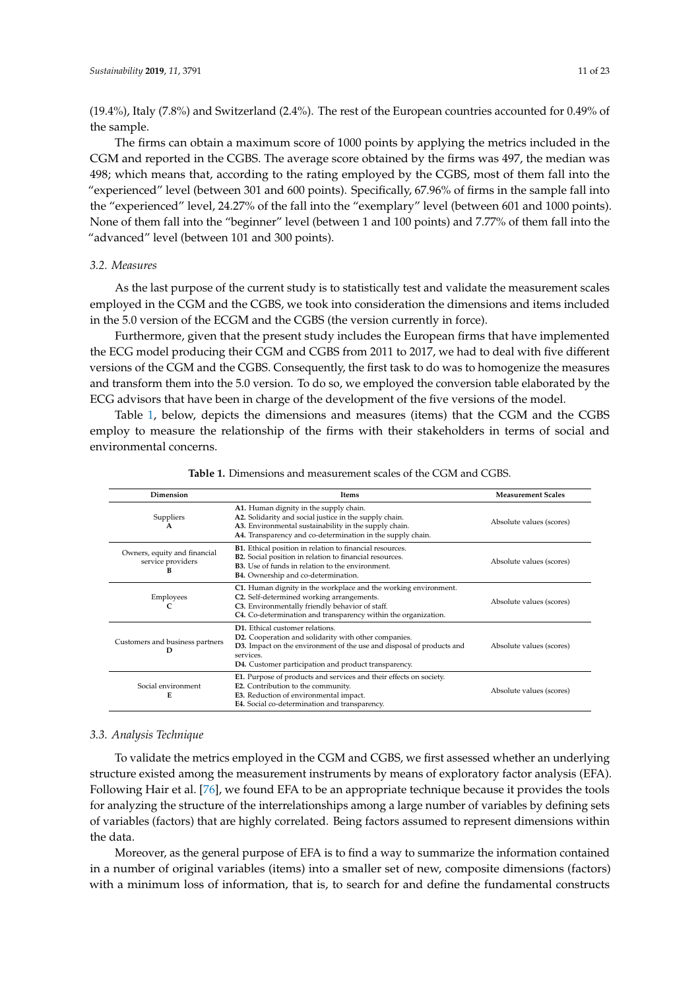(19.4%), Italy (7.8%) and Switzerland (2.4%). The rest of the European countries accounted for 0.49% of the sample.

The firms can obtain a maximum score of 1000 points by applying the metrics included in the CGM and reported in the CGBS. The average score obtained by the firms was 497, the median was 498; which means that, according to the rating employed by the CGBS, most of them fall into the "experienced" level (between 301 and 600 points). Specifically, 67.96% of firms in the sample fall into the "experienced" level, 24.27% of the fall into the "exemplary" level (between 601 and 1000 points). None of them fall into the "beginner" level (between 1 and 100 points) and 7.77% of them fall into the "advanced" level (between 101 and 300 points).

#### *3.2. Measures*

As the last purpose of the current study is to statistically test and validate the measurement scales employed in the CGM and the CGBS, we took into consideration the dimensions and items included in the 5.0 version of the ECGM and the CGBS (the version currently in force).

Furthermore, given that the present study includes the European firms that have implemented the ECG model producing their CGM and CGBS from 2011 to 2017, we had to deal with five different versions of the CGM and the CGBS. Consequently, the first task to do was to homogenize the measures and transform them into the 5.0 version. To do so, we employed the conversion table elaborated by the ECG advisors that have been in charge of the development of the five versions of the model.

Table [1,](#page-10-0) below, depicts the dimensions and measures (items) that the CGM and the CGBS employ to measure the relationship of the firms with their stakeholders in terms of social and environmental concerns.

<span id="page-10-0"></span>

| Dimension                                         | <b>Items</b>                                                                                                                                                                                                                          | <b>Measurement Scales</b> |
|---------------------------------------------------|---------------------------------------------------------------------------------------------------------------------------------------------------------------------------------------------------------------------------------------|---------------------------|
| Suppliers<br>A                                    | A1. Human dignity in the supply chain.<br>A2. Solidarity and social justice in the supply chain.<br>A3. Environmental sustainability in the supply chain.<br>A4. Transparency and co-determination in the supply chain.               | Absolute values (scores)  |
| Owners, equity and financial<br>service providers | B1. Ethical position in relation to financial resources.<br>B2. Social position in relation to financial resources.<br><b>B3.</b> Use of funds in relation to the environment.<br><b>B4.</b> Ownership and co-determination.          | Absolute values (scores)  |
| Employees<br>C                                    | C1. Human dignity in the workplace and the working environment.<br>C2. Self-determined working arrangements.<br>C3. Environmentally friendly behavior of staff.<br>C4. Co-determination and transparency within the organization.     | Absolute values (scores)  |
| Customers and business partners<br>D              | D1. Ethical customer relations.<br>D2. Cooperation and solidarity with other companies.<br>D3. Impact on the environment of the use and disposal of products and<br>services.<br>D4. Customer participation and product transparency. | Absolute values (scores)  |
| Social environment<br>E                           | E1. Purpose of products and services and their effects on society.<br>E2. Contribution to the community.<br>E3. Reduction of environmental impact.<br>E4. Social co-determination and transparency.                                   | Absolute values (scores)  |

| <b>Table 1.</b> Dimensions and measurement scales of the CGM and CGBS. |  |  |  |
|------------------------------------------------------------------------|--|--|--|
|------------------------------------------------------------------------|--|--|--|

#### *3.3. Analysis Technique*

To validate the metrics employed in the CGM and CGBS, we first assessed whether an underlying structure existed among the measurement instruments by means of exploratory factor analysis (EFA). Following Hair et al. [\[76\]](#page-21-21), we found EFA to be an appropriate technique because it provides the tools for analyzing the structure of the interrelationships among a large number of variables by defining sets of variables (factors) that are highly correlated. Being factors assumed to represent dimensions within the data.

Moreover, as the general purpose of EFA is to find a way to summarize the information contained in a number of original variables (items) into a smaller set of new, composite dimensions (factors) with a minimum loss of information, that is, to search for and define the fundamental constructs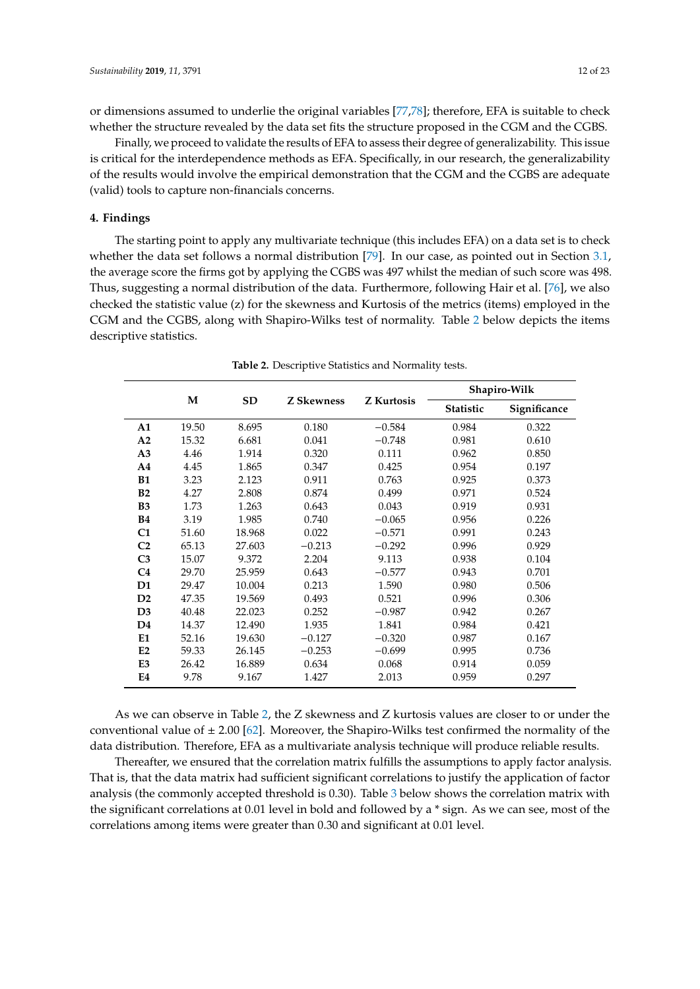or dimensions assumed to underlie the original variables [\[77,](#page-21-22)[78\]](#page-21-23); therefore, EFA is suitable to check whether the structure revealed by the data set fits the structure proposed in the CGM and the CGBS.

Finally, we proceed to validate the results of EFA to assess their degree of generalizability. This issue is critical for the interdependence methods as EFA. Specifically, in our research, the generalizability of the results would involve the empirical demonstration that the CGM and the CGBS are adequate (valid) tools to capture non-financials concerns.

#### **4. Findings**

The starting point to apply any multivariate technique (this includes EFA) on a data set is to check whether the data set follows a normal distribution [\[79\]](#page-21-24). In our case, as pointed out in Section [3.1,](#page-9-1) the average score the firms got by applying the CGBS was 497 whilst the median of such score was 498. Thus, suggesting a normal distribution of the data. Furthermore, following Hair et al. [\[76\]](#page-21-21), we also checked the statistic value (z) for the skewness and Kurtosis of the metrics (items) employed in the CGM and the CGBS, along with Shapiro-Wilks test of normality. Table [2](#page-11-0) below depicts the items descriptive statistics.

<span id="page-11-0"></span>

|                |       |           |                   |                   | Shapiro-Wilk |              |  |  |
|----------------|-------|-----------|-------------------|-------------------|--------------|--------------|--|--|
|                | M     | <b>SD</b> | <b>Z</b> Skewness | <b>Z</b> Kurtosis | Statistic    | Significance |  |  |
| $\mathbf{A1}$  | 19.50 | 8.695     | 0.180             | $-0.584$          | 0.984        | 0.322        |  |  |
| A <sub>2</sub> | 15.32 | 6.681     | 0.041             | $-0.748$          | 0.981        | 0.610        |  |  |
| A3             | 4.46  | 1.914     | 0.320             | 0.111             | 0.962        | 0.850        |  |  |
| A4             | 4.45  | 1.865     | 0.347             | 0.425             | 0.954        | 0.197        |  |  |
| <b>B1</b>      | 3.23  | 2.123     | 0.911             | 0.763             | 0.925        | 0.373        |  |  |
| B <sub>2</sub> | 4.27  | 2.808     | 0.874             | 0.499             | 0.971        | 0.524        |  |  |
| <b>B3</b>      | 1.73  | 1.263     | 0.643             | 0.043             | 0.919        | 0.931        |  |  |
| <b>B4</b>      | 3.19  | 1.985     | 0.740             | $-0.065$          | 0.956        | 0.226        |  |  |
| C1             | 51.60 | 18.968    | 0.022             | $-0.571$          | 0.991        | 0.243        |  |  |
| C <sub>2</sub> | 65.13 | 27.603    | $-0.213$          | $-0.292$          | 0.996        | 0.929        |  |  |
| C <sub>3</sub> | 15.07 | 9.372     | 2.204             | 9.113             | 0.938        | 0.104        |  |  |
| C <sub>4</sub> | 29.70 | 25.959    | 0.643             | $-0.577$          | 0.943        | 0.701        |  |  |
| D1             | 29.47 | 10.004    | 0.213             | 1.590             | 0.980        | 0.506        |  |  |
| D2             | 47.35 | 19.569    | 0.493             | 0.521             | 0.996        | 0.306        |  |  |
| D <sub>3</sub> | 40.48 | 22.023    | 0.252             | $-0.987$          | 0.942        | 0.267        |  |  |
| D4             | 14.37 | 12.490    | 1.935             | 1.841             | 0.984        | 0.421        |  |  |
| E1             | 52.16 | 19.630    | $-0.127$          | $-0.320$          | 0.987        | 0.167        |  |  |
| E2             | 59.33 | 26.145    | $-0.253$          | $-0.699$          | 0.995        | 0.736        |  |  |
| E <sub>3</sub> | 26.42 | 16.889    | 0.634             | 0.068             | 0.914        | 0.059        |  |  |
| E4             | 9.78  | 9.167     | 1.427             | 2.013             | 0.959        | 0.297        |  |  |

|  | Table 2. Descriptive Statistics and Normality tests. |  |
|--|------------------------------------------------------|--|
|  |                                                      |  |

As we can observe in Table [2,](#page-11-0) the Z skewness and Z kurtosis values are closer to or under the conventional value of  $\pm 2.00$  [\[62\]](#page-21-7). Moreover, the Shapiro-Wilks test confirmed the normality of the data distribution. Therefore, EFA as a multivariate analysis technique will produce reliable results.

Thereafter, we ensured that the correlation matrix fulfills the assumptions to apply factor analysis. That is, that the data matrix had sufficient significant correlations to justify the application of factor analysis (the commonly accepted threshold is 0.30). Table [3](#page-12-0) below shows the correlation matrix with the significant correlations at 0.01 level in bold and followed by a \* sign. As we can see, most of the correlations among items were greater than 0.30 and significant at 0.01 level.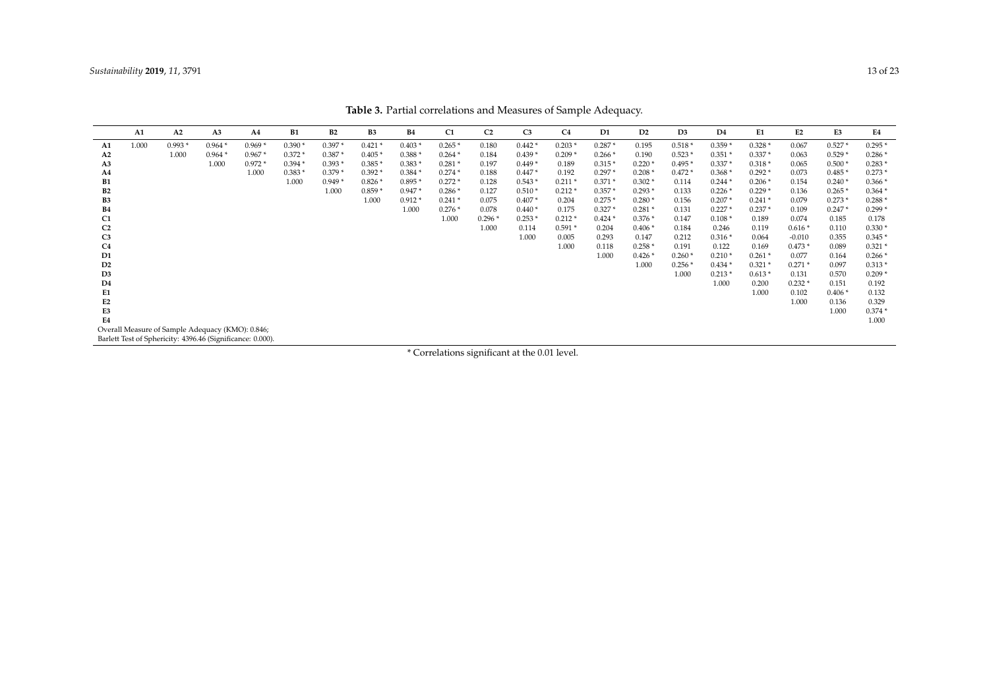<span id="page-12-0"></span>

|                | A1    | A <sub>2</sub> | A3                                               | A4                                                         | B1       | <b>B2</b> | B <sub>3</sub> | <b>B</b> 4 | C <sub>1</sub> | C <sub>2</sub> | C <sub>3</sub> | C <sub>4</sub> | D <sub>1</sub> | D <sub>2</sub> | D <sub>3</sub> | D <sub>4</sub> | E1       | E2       | E3       | E4       |
|----------------|-------|----------------|--------------------------------------------------|------------------------------------------------------------|----------|-----------|----------------|------------|----------------|----------------|----------------|----------------|----------------|----------------|----------------|----------------|----------|----------|----------|----------|
| A1             | 1.000 | $0.993*$       | $0.964*$                                         | $0.969*$                                                   | $0.390*$ | $0.397*$  | $0.421*$       | $0.403*$   | $0.265*$       | 0.180          | $0.442*$       | $0.203*$       | $0.287*$       | 0.195          | $0.518*$       | $0.359*$       | $0.328*$ | 0.067    | $0.527*$ | $0.295*$ |
| A2             |       | 1.000          | $0.964*$                                         | $0.967*$                                                   | $0.372*$ | $0.387*$  | 0.405          | $0.388*$   | $0.264*$       | 0.184          | $0.439*$       | $0.209*$       | $0.266*$       | 0.190          | $0.523*$       | $0.351*$       | $0.337*$ | 0.063    | $0.529*$ | $0.286*$ |
| A3             |       |                | 1.000                                            | $0.972*$                                                   | $0.394*$ | $0.393*$  | $0.385*$       | $0.383*$   | $0.281*$       | 0.197          | $0.449*$       | 0.189          | $0.315*$       | $0.220*$       | $0.495*$       | $0.337*$       | $0.318*$ | 0.065    | $0.500*$ | $0.283*$ |
| A4             |       |                |                                                  | 1.000                                                      | $0.383*$ | $0.379*$  | $0.392*$       | $0.384*$   | $0.274*$       | 0.188          | $0.447*$       | 0.192          | $0.297*$       | $0.208*$       | $0.472*$       | $0.368*$       | $0.292*$ | 0.073    | $0.485*$ | $0.273*$ |
| <b>B1</b>      |       |                |                                                  |                                                            | 1.000    | $0.949*$  | $0.826*$       | $0.895*$   | $0.272*$       | 0.128          | $0.543*$       | $0.211*$       | $0.371*$       | $0.302*$       | 0.114          | $0.244*$       | $0.206*$ | 0.154    | $0.240*$ | $0.366*$ |
| <b>B2</b>      |       |                |                                                  |                                                            |          | 1.000     | $0.859*$       | $0.947*$   | $0.286*$       | 0.127          | $0.510*$       | $0.212*$       | $0.357*$       | $0.293*$       | 0.133          | $0.226*$       | $0.229*$ | 0.136    | $0.265*$ | $0.364*$ |
| B3             |       |                |                                                  |                                                            |          |           | 1.000          | $0.912*$   | $0.241*$       | 0.075          | $0.407*$       | 0.204          | $0.275*$       | $0.280*$       | 0.156          | $0.207*$       | $0.241*$ | 0.079    | $0.273*$ | $0.288*$ |
| <b>B</b> 4     |       |                |                                                  |                                                            |          |           |                | 1.000      | $0.276*$       | 0.078          | $0.440*$       | 0.175          | $0.327*$       | $0.281*$       | 0.131          | $0.227*$       | $0.237*$ | 0.109    | $0.247*$ | $0.299*$ |
| C1             |       |                |                                                  |                                                            |          |           |                |            | 1.000          | $0.296*$       | $0.253*$       | $0.212*$       | $0.424*$       | $0.376*$       | 0.147          | $0.108*$       | 0.189    | 0.074    | 0.185    | 0.178    |
| C <sub>2</sub> |       |                |                                                  |                                                            |          |           |                |            |                | 1.000          | 0.114          | $0.591*$       | 0.204          | $0.406*$       | 0.184          | 0.246          | 0.119    | $0.616*$ | 0.110    | $0.330*$ |
| C <sub>3</sub> |       |                |                                                  |                                                            |          |           |                |            |                |                | 1.000          | 0.005          | 0.293          | 0.147          | 0.212          | $0.316*$       | 0.064    | $-0.010$ | 0.355    | $0.345*$ |
| C <sub>4</sub> |       |                |                                                  |                                                            |          |           |                |            |                |                |                | 1.000          | 0.118          | $0.258*$       | 0.191          | 0.122          | 0.169    | $0.473*$ | 0.089    | $0.321*$ |
| D1             |       |                |                                                  |                                                            |          |           |                |            |                |                |                |                | 1.000          | $0.426*$       | $0.260*$       | $0.210*$       | $0.261*$ | 0.077    | 0.164    | $0.266*$ |
| D <sub>2</sub> |       |                |                                                  |                                                            |          |           |                |            |                |                |                |                |                | 1.000          | $0.256*$       | $0.434*$       | $0.321*$ | $0.271*$ | 0.097    | $0.313*$ |
| D3             |       |                |                                                  |                                                            |          |           |                |            |                |                |                |                |                |                | 1.000          | $0.213*$       | $0.613*$ | 0.131    | 0.570    | $0.209*$ |
| D4             |       |                |                                                  |                                                            |          |           |                |            |                |                |                |                |                |                |                | 1.000          | 0.200    | $0.232*$ | 0.151    | 0.192    |
| E1             |       |                |                                                  |                                                            |          |           |                |            |                |                |                |                |                |                |                |                | 1.000    | 0.102    | $0.406*$ | 0.132    |
| E <sub>2</sub> |       |                |                                                  |                                                            |          |           |                |            |                |                |                |                |                |                |                |                |          | 1.000    | 0.136    | 0.329    |
| E3             |       |                |                                                  |                                                            |          |           |                |            |                |                |                |                |                |                |                |                |          |          | 1.000    | $0.374*$ |
| E <sub>4</sub> |       |                |                                                  |                                                            |          |           |                |            |                |                |                |                |                |                |                |                |          |          |          | 1.000    |
|                |       |                | Overall Measure of Sample Adequacy (KMO): 0.846; |                                                            |          |           |                |            |                |                |                |                |                |                |                |                |          |          |          |          |
|                |       |                |                                                  | Barlett Test of Sphericity: 4396.46 (Significance: 0.000). |          |           |                |            |                |                |                |                |                |                |                |                |          |          |          |          |

**Table 3.** Partial correlations and Measures of Sample Adequacy.

\* Correlations significant at the 0.01 level.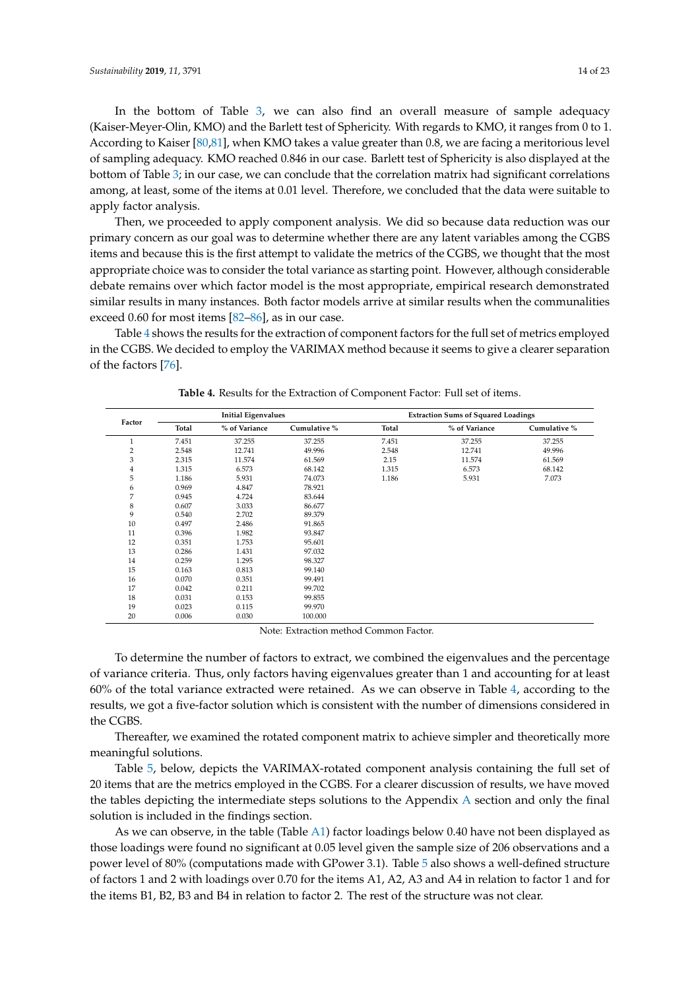In the bottom of Table [3,](#page-12-0) we can also find an overall measure of sample adequacy (Kaiser-Meyer-Olin, KMO) and the Barlett test of Sphericity. With regards to KMO, it ranges from 0 to 1. According to Kaiser [\[80,](#page-21-25)[81\]](#page-21-26), when KMO takes a value greater than 0.8, we are facing a meritorious level of sampling adequacy. KMO reached 0.846 in our case. Barlett test of Sphericity is also displayed at the bottom of Table [3;](#page-12-0) in our case, we can conclude that the correlation matrix had significant correlations among, at least, some of the items at 0.01 level. Therefore, we concluded that the data were suitable to apply factor analysis.

Then, we proceeded to apply component analysis. We did so because data reduction was our primary concern as our goal was to determine whether there are any latent variables among the CGBS items and because this is the first attempt to validate the metrics of the CGBS, we thought that the most appropriate choice was to consider the total variance as starting point. However, although considerable debate remains over which factor model is the most appropriate, empirical research demonstrated similar results in many instances. Both factor models arrive at similar results when the communalities exceed 0.60 for most items [\[82](#page-22-0)[–86\]](#page-22-1), as in our case.

Table [4](#page-13-0) shows the results for the extraction of component factors for the full set of metrics employed in the CGBS. We decided to employ the VARIMAX method because it seems to give a clearer separation of the factors [\[76\]](#page-21-21).

<span id="page-13-0"></span>

|                |       | <b>Initial Eigenvalues</b> |              |       | <b>Extraction Sums of Squared Loadings</b> |              |  |  |  |  |  |
|----------------|-------|----------------------------|--------------|-------|--------------------------------------------|--------------|--|--|--|--|--|
| Factor         | Total | % of Variance              | Cumulative % | Total | % of Variance                              | Cumulative % |  |  |  |  |  |
| 1              | 7.451 | 37.255                     | 37.255       | 7.451 | 37.255                                     | 37.255       |  |  |  |  |  |
| 2              | 2.548 | 12.741                     | 49.996       | 2.548 | 12.741                                     | 49.996       |  |  |  |  |  |
| 3              | 2.315 | 11.574                     | 61.569       | 2.15  | 11.574                                     | 61.569       |  |  |  |  |  |
| $\overline{4}$ | 1.315 | 6.573                      | 68.142       | 1.315 | 6.573                                      | 68.142       |  |  |  |  |  |
| 5              | 1.186 | 5.931                      | 74.073       | 1.186 | 5.931                                      | 7.073        |  |  |  |  |  |
| 6              | 0.969 | 4.847                      | 78.921       |       |                                            |              |  |  |  |  |  |
| 7              | 0.945 | 4.724                      | 83.644       |       |                                            |              |  |  |  |  |  |
| 8              | 0.607 | 3.033                      | 86.677       |       |                                            |              |  |  |  |  |  |
| 9              | 0.540 | 2.702                      | 89.379       |       |                                            |              |  |  |  |  |  |
| 10             | 0.497 | 2.486                      | 91.865       |       |                                            |              |  |  |  |  |  |
| 11             | 0.396 | 1.982                      | 93.847       |       |                                            |              |  |  |  |  |  |
| 12             | 0.351 | 1.753                      | 95.601       |       |                                            |              |  |  |  |  |  |
| 13             | 0.286 | 1.431                      | 97.032       |       |                                            |              |  |  |  |  |  |
| 14             | 0.259 | 1.295                      | 98.327       |       |                                            |              |  |  |  |  |  |
| 15             | 0.163 | 0.813                      | 99.140       |       |                                            |              |  |  |  |  |  |
| 16             | 0.070 | 0.351                      | 99.491       |       |                                            |              |  |  |  |  |  |
| 17             | 0.042 | 0.211                      | 99.702       |       |                                            |              |  |  |  |  |  |
| 18             | 0.031 | 0.153                      | 99.855       |       |                                            |              |  |  |  |  |  |
| 19             | 0.023 | 0.115                      | 99.970       |       |                                            |              |  |  |  |  |  |
| 20             | 0.006 | 0.030                      | 100.000      |       |                                            |              |  |  |  |  |  |

**Table 4.** Results for the Extraction of Component Factor: Full set of items.

Note: Extraction method Common Factor.

To determine the number of factors to extract, we combined the eigenvalues and the percentage of variance criteria. Thus, only factors having eigenvalues greater than 1 and accounting for at least 60% of the total variance extracted were retained. As we can observe in Table [4,](#page-13-0) according to the results, we got a five-factor solution which is consistent with the number of dimensions considered in the CGBS.

Thereafter, we examined the rotated component matrix to achieve simpler and theoretically more meaningful solutions.

Table [5,](#page-14-0) below, depicts the VARIMAX-rotated component analysis containing the full set of 20 items that are the metrics employed in the CGBS. For a clearer discussion of results, we have moved the tables depicting the intermediate steps solutions to the Appendix [A](#page-17-0) section and only the final solution is included in the findings section.

As we can observe, in the table (Table [A1\)](#page-17-1) factor loadings below 0.40 have not been displayed as those loadings were found no significant at 0.05 level given the sample size of 206 observations and a power level of 80% (computations made with GPower 3.1). Table [5](#page-14-0) also shows a well-defined structure of factors 1 and 2 with loadings over 0.70 for the items A1, A2, A3 and A4 in relation to factor 1 and for the items B1, B2, B3 and B4 in relation to factor 2. The rest of the structure was not clear.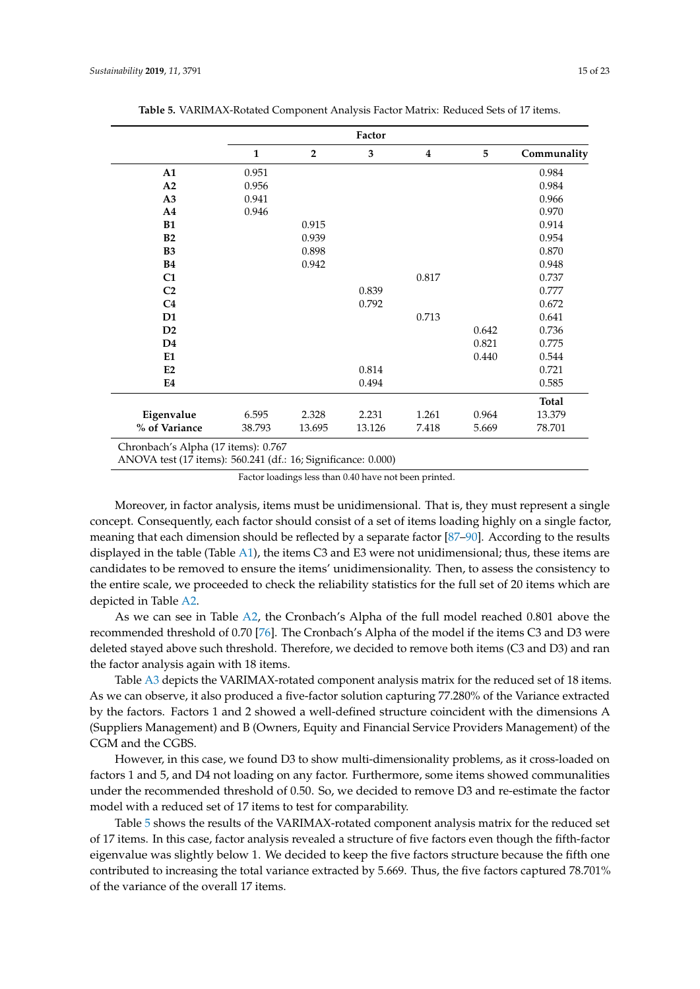| 15 of 23 |  |
|----------|--|
|          |  |
|          |  |

<span id="page-14-0"></span>

|                |              |                | Factor |                         |       |             |
|----------------|--------------|----------------|--------|-------------------------|-------|-------------|
|                | $\mathbf{1}$ | $\overline{2}$ | 3      | $\overline{\mathbf{4}}$ | 5     | Communality |
| A1             | 0.951        |                |        |                         |       | 0.984       |
| A2             | 0.956        |                |        |                         |       | 0.984       |
| A <sub>3</sub> | 0.941        |                |        |                         |       | 0.966       |
| A <sub>4</sub> | 0.946        |                |        |                         |       | 0.970       |
| <b>B1</b>      |              | 0.915          |        |                         |       | 0.914       |
| B2             |              | 0.939          |        |                         |       | 0.954       |
| <b>B3</b>      |              | 0.898          |        |                         |       | 0.870       |
| <b>B4</b>      |              | 0.942          |        |                         |       | 0.948       |
| C1             |              |                |        | 0.817                   |       | 0.737       |
| C <sub>2</sub> |              |                | 0.839  |                         |       | 0.777       |
| C <sub>4</sub> |              |                | 0.792  |                         |       | 0.672       |
| D <sub>1</sub> |              |                |        | 0.713                   |       | 0.641       |
| D2             |              |                |        |                         | 0.642 | 0.736       |
| D <sub>4</sub> |              |                |        |                         | 0.821 | 0.775       |
| E1             |              |                |        |                         | 0.440 | 0.544       |
| E2             |              |                | 0.814  |                         |       | 0.721       |
| E4             |              |                | 0.494  |                         |       | 0.585       |
|                |              |                |        |                         |       | Total       |
| Eigenvalue     | 6.595        | 2.328          | 2.231  | 1.261                   | 0.964 | 13.379      |
| % of Variance  | 38.793       | 13.695         | 13.126 | 7.418                   | 5.669 | 78.701      |

**Table 5.** VARIMAX-Rotated Component Analysis Factor Matrix: Reduced Sets of 17 items.

ANOVA test (17 items): 560.241 (df.: 16; Significance: 0.000)

Factor loadings less than 0.40 have not been printed.

Moreover, in factor analysis, items must be unidimensional. That is, they must represent a single concept. Consequently, each factor should consist of a set of items loading highly on a single factor, meaning that each dimension should be reflected by a separate factor [\[87](#page-22-2)[–90\]](#page-22-3). According to the results displayed in the table (Table [A1\)](#page-17-1), the items C3 and E3 were not unidimensional; thus, these items are candidates to be removed to ensure the items' unidimensionality. Then, to assess the consistency to the entire scale, we proceeded to check the reliability statistics for the full set of 20 items which are depicted in Table [A2.](#page-17-2)

As we can see in Table [A2,](#page-17-2) the Cronbach's Alpha of the full model reached 0.801 above the recommended threshold of 0.70 [\[76\]](#page-21-21). The Cronbach's Alpha of the model if the items C3 and D3 were deleted stayed above such threshold. Therefore, we decided to remove both items (C3 and D3) and ran the factor analysis again with 18 items.

Table [A3](#page-18-0) depicts the VARIMAX-rotated component analysis matrix for the reduced set of 18 items. As we can observe, it also produced a five-factor solution capturing 77.280% of the Variance extracted by the factors. Factors 1 and 2 showed a well-defined structure coincident with the dimensions A (Suppliers Management) and B (Owners, Equity and Financial Service Providers Management) of the CGM and the CGBS.

However, in this case, we found D3 to show multi-dimensionality problems, as it cross-loaded on factors 1 and 5, and D4 not loading on any factor. Furthermore, some items showed communalities under the recommended threshold of 0.50. So, we decided to remove D3 and re-estimate the factor model with a reduced set of 17 items to test for comparability.

Table [5](#page-14-0) shows the results of the VARIMAX-rotated component analysis matrix for the reduced set of 17 items. In this case, factor analysis revealed a structure of five factors even though the fifth-factor eigenvalue was slightly below 1. We decided to keep the five factors structure because the fifth one contributed to increasing the total variance extracted by 5.669. Thus, the five factors captured 78.701% of the variance of the overall 17 items.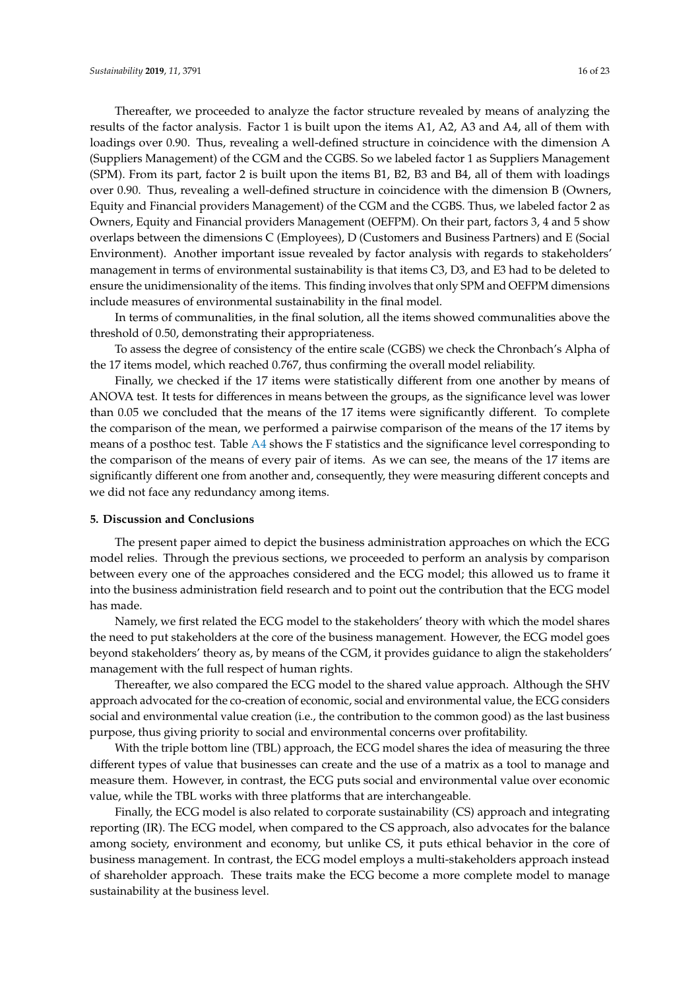Thereafter, we proceeded to analyze the factor structure revealed by means of analyzing the results of the factor analysis. Factor 1 is built upon the items A1, A2, A3 and A4, all of them with loadings over 0.90. Thus, revealing a well-defined structure in coincidence with the dimension A (Suppliers Management) of the CGM and the CGBS. So we labeled factor 1 as Suppliers Management (SPM). From its part, factor 2 is built upon the items B1, B2, B3 and B4, all of them with loadings over 0.90. Thus, revealing a well-defined structure in coincidence with the dimension B (Owners, Equity and Financial providers Management) of the CGM and the CGBS. Thus, we labeled factor 2 as Owners, Equity and Financial providers Management (OEFPM). On their part, factors 3, 4 and 5 show overlaps between the dimensions C (Employees), D (Customers and Business Partners) and E (Social Environment). Another important issue revealed by factor analysis with regards to stakeholders' management in terms of environmental sustainability is that items C3, D3, and E3 had to be deleted to ensure the unidimensionality of the items. This finding involves that only SPM and OEFPM dimensions include measures of environmental sustainability in the final model.

In terms of communalities, in the final solution, all the items showed communalities above the threshold of 0.50, demonstrating their appropriateness.

To assess the degree of consistency of the entire scale (CGBS) we check the Chronbach's Alpha of the 17 items model, which reached 0.767, thus confirming the overall model reliability.

Finally, we checked if the 17 items were statistically different from one another by means of ANOVA test. It tests for differences in means between the groups, as the significance level was lower than 0.05 we concluded that the means of the 17 items were significantly different. To complete the comparison of the mean, we performed a pairwise comparison of the means of the 17 items by means of a posthoc test. Table [A4](#page-18-1) shows the F statistics and the significance level corresponding to the comparison of the means of every pair of items. As we can see, the means of the 17 items are significantly different one from another and, consequently, they were measuring different concepts and we did not face any redundancy among items.

#### **5. Discussion and Conclusions**

The present paper aimed to depict the business administration approaches on which the ECG model relies. Through the previous sections, we proceeded to perform an analysis by comparison between every one of the approaches considered and the ECG model; this allowed us to frame it into the business administration field research and to point out the contribution that the ECG model has made.

Namely, we first related the ECG model to the stakeholders' theory with which the model shares the need to put stakeholders at the core of the business management. However, the ECG model goes beyond stakeholders' theory as, by means of the CGM, it provides guidance to align the stakeholders' management with the full respect of human rights.

Thereafter, we also compared the ECG model to the shared value approach. Although the SHV approach advocated for the co-creation of economic, social and environmental value, the ECG considers social and environmental value creation (i.e., the contribution to the common good) as the last business purpose, thus giving priority to social and environmental concerns over profitability.

With the triple bottom line (TBL) approach, the ECG model shares the idea of measuring the three different types of value that businesses can create and the use of a matrix as a tool to manage and measure them. However, in contrast, the ECG puts social and environmental value over economic value, while the TBL works with three platforms that are interchangeable.

Finally, the ECG model is also related to corporate sustainability (CS) approach and integrating reporting (IR). The ECG model, when compared to the CS approach, also advocates for the balance among society, environment and economy, but unlike CS, it puts ethical behavior in the core of business management. In contrast, the ECG model employs a multi-stakeholders approach instead of shareholder approach. These traits make the ECG become a more complete model to manage sustainability at the business level.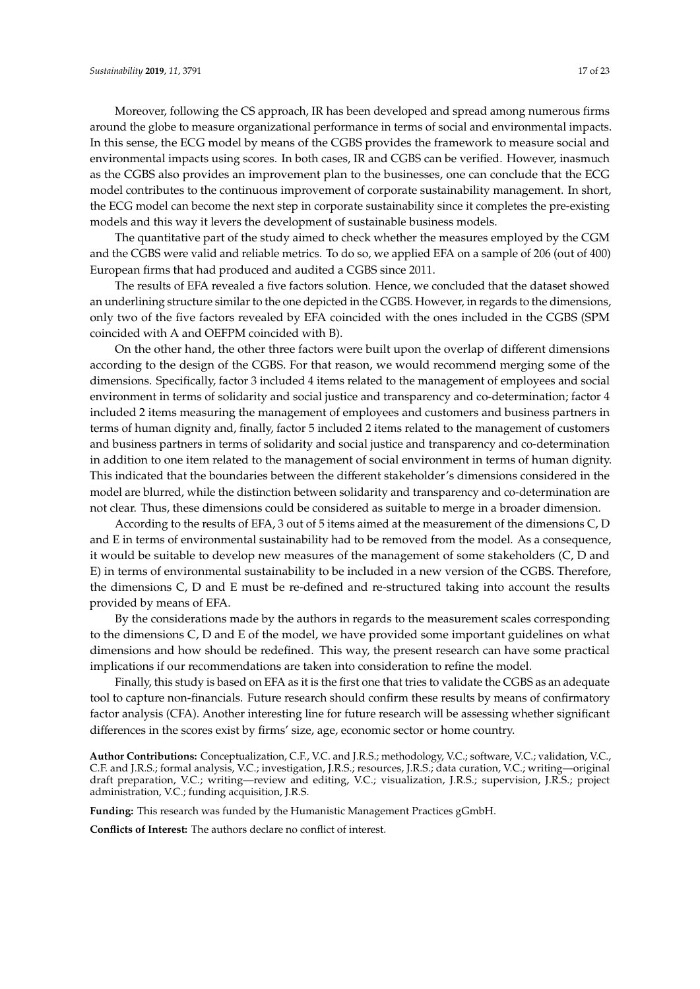Moreover, following the CS approach, IR has been developed and spread among numerous firms around the globe to measure organizational performance in terms of social and environmental impacts. In this sense, the ECG model by means of the CGBS provides the framework to measure social and environmental impacts using scores. In both cases, IR and CGBS can be verified. However, inasmuch as the CGBS also provides an improvement plan to the businesses, one can conclude that the ECG model contributes to the continuous improvement of corporate sustainability management. In short, the ECG model can become the next step in corporate sustainability since it completes the pre-existing models and this way it levers the development of sustainable business models.

The quantitative part of the study aimed to check whether the measures employed by the CGM and the CGBS were valid and reliable metrics. To do so, we applied EFA on a sample of 206 (out of 400) European firms that had produced and audited a CGBS since 2011.

The results of EFA revealed a five factors solution. Hence, we concluded that the dataset showed an underlining structure similar to the one depicted in the CGBS. However, in regards to the dimensions, only two of the five factors revealed by EFA coincided with the ones included in the CGBS (SPM coincided with A and OEFPM coincided with B).

On the other hand, the other three factors were built upon the overlap of different dimensions according to the design of the CGBS. For that reason, we would recommend merging some of the dimensions. Specifically, factor 3 included 4 items related to the management of employees and social environment in terms of solidarity and social justice and transparency and co-determination; factor 4 included 2 items measuring the management of employees and customers and business partners in terms of human dignity and, finally, factor 5 included 2 items related to the management of customers and business partners in terms of solidarity and social justice and transparency and co-determination in addition to one item related to the management of social environment in terms of human dignity. This indicated that the boundaries between the different stakeholder's dimensions considered in the model are blurred, while the distinction between solidarity and transparency and co-determination are not clear. Thus, these dimensions could be considered as suitable to merge in a broader dimension.

According to the results of EFA, 3 out of 5 items aimed at the measurement of the dimensions C, D and E in terms of environmental sustainability had to be removed from the model. As a consequence, it would be suitable to develop new measures of the management of some stakeholders (C, D and E) in terms of environmental sustainability to be included in a new version of the CGBS. Therefore, the dimensions C, D and E must be re-defined and re-structured taking into account the results provided by means of EFA.

By the considerations made by the authors in regards to the measurement scales corresponding to the dimensions C, D and E of the model, we have provided some important guidelines on what dimensions and how should be redefined. This way, the present research can have some practical implications if our recommendations are taken into consideration to refine the model.

Finally, this study is based on EFA as it is the first one that tries to validate the CGBS as an adequate tool to capture non-financials. Future research should confirm these results by means of confirmatory factor analysis (CFA). Another interesting line for future research will be assessing whether significant differences in the scores exist by firms' size, age, economic sector or home country.

**Author Contributions:** Conceptualization, C.F., V.C. and J.R.S.; methodology, V.C.; software, V.C.; validation, V.C., C.F. and J.R.S.; formal analysis, V.C.; investigation, J.R.S.; resources, J.R.S.; data curation, V.C.; writing—original draft preparation, V.C.; writing—review and editing, V.C.; visualization, J.R.S.; supervision, J.R.S.; project administration, V.C.; funding acquisition, J.R.S.

**Funding:** This research was funded by the Humanistic Management Practices gGmbH.

**Conflicts of Interest:** The authors declare no conflict of interest.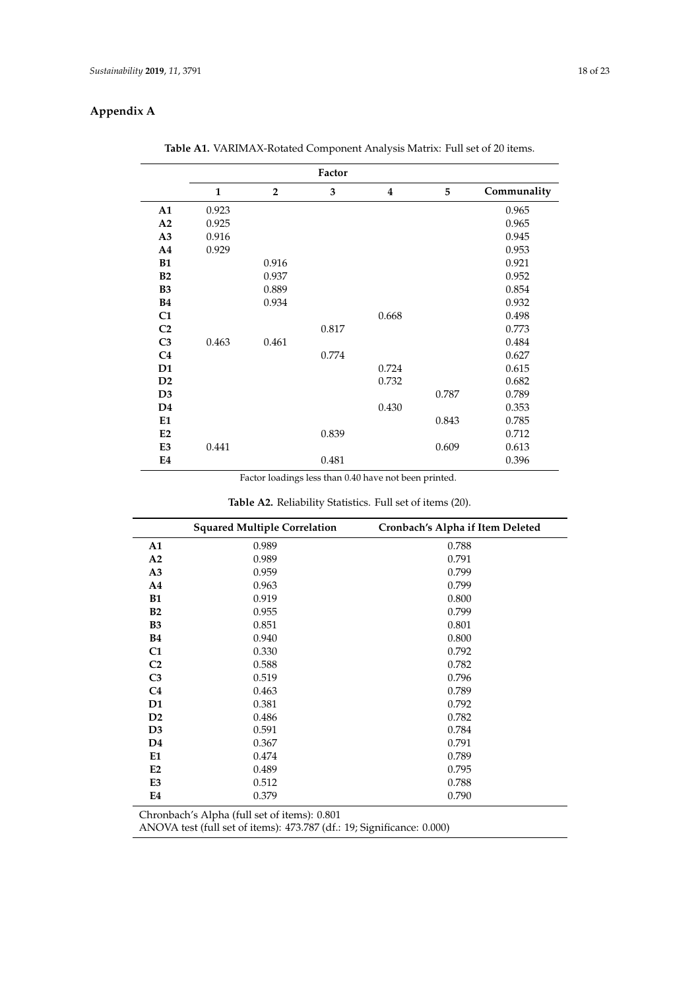### <span id="page-17-1"></span><span id="page-17-0"></span>**Appendix A**

|                |              |                | Factor |       |       |             |
|----------------|--------------|----------------|--------|-------|-------|-------------|
|                | $\mathbf{1}$ | $\overline{2}$ | 3      | 4     | 5     | Communality |
| A1             | 0.923        |                |        |       |       | 0.965       |
| A2             | 0.925        |                |        |       |       | 0.965       |
| A <sub>3</sub> | 0.916        |                |        |       |       | 0.945       |
| A <sub>4</sub> | 0.929        |                |        |       |       | 0.953       |
| B1             |              | 0.916          |        |       |       | 0.921       |
| B2             |              | 0.937          |        |       |       | 0.952       |
| <b>B3</b>      |              | 0.889          |        |       |       | 0.854       |
| <b>B4</b>      |              | 0.934          |        |       |       | 0.932       |
| C1             |              |                |        | 0.668 |       | 0.498       |
| C <sub>2</sub> |              |                | 0.817  |       |       | 0.773       |
| C <sub>3</sub> | 0.463        | 0.461          |        |       |       | 0.484       |
| C <sub>4</sub> |              |                | 0.774  |       |       | 0.627       |
| D1             |              |                |        | 0.724 |       | 0.615       |
| D2             |              |                |        | 0.732 |       | 0.682       |
| D <sub>3</sub> |              |                |        |       | 0.787 | 0.789       |
| D <sub>4</sub> |              |                |        | 0.430 |       | 0.353       |
| E1             |              |                |        |       | 0.843 | 0.785       |
| E2             |              |                | 0.839  |       |       | 0.712       |
| E <sub>3</sub> | 0.441        |                |        |       | 0.609 | 0.613       |
| E4             |              |                | 0.481  |       |       | 0.396       |

**Table A1.** VARIMAX-Rotated Component Analysis Matrix: Full set of 20 items.

Factor loadings less than 0.40 have not been printed.

| <b>Table A2.</b> Reliability Statistics. Full set of items (20). |  |  |
|------------------------------------------------------------------|--|--|
|------------------------------------------------------------------|--|--|

<span id="page-17-2"></span>

|                                              | <b>Squared Multiple Correlation</b> | Cronbach's Alpha if Item Deleted |  |  |  |  |  |
|----------------------------------------------|-------------------------------------|----------------------------------|--|--|--|--|--|
| $\mathbf{A1}$                                | 0.989                               | 0.788                            |  |  |  |  |  |
| A <sub>2</sub>                               | 0.989                               | 0.791                            |  |  |  |  |  |
| A3                                           | 0.959                               | 0.799                            |  |  |  |  |  |
| A <sub>4</sub>                               | 0.963                               | 0.799                            |  |  |  |  |  |
| B1                                           | 0.919                               | 0.800                            |  |  |  |  |  |
| <b>B2</b>                                    | 0.955                               | 0.799                            |  |  |  |  |  |
| <b>B3</b>                                    | 0.851                               | 0.801                            |  |  |  |  |  |
| <b>B4</b>                                    | 0.940                               | 0.800                            |  |  |  |  |  |
| C1                                           | 0.330                               | 0.792                            |  |  |  |  |  |
| C <sub>2</sub>                               | 0.588                               | 0.782                            |  |  |  |  |  |
| C <sub>3</sub>                               | 0.519                               | 0.796                            |  |  |  |  |  |
| C4                                           | 0.463                               | 0.789                            |  |  |  |  |  |
| D <sub>1</sub>                               | 0.381                               | 0.792                            |  |  |  |  |  |
| D2                                           | 0.486                               | 0.782                            |  |  |  |  |  |
| D <sub>3</sub>                               | 0.591                               | 0.784                            |  |  |  |  |  |
| D <sub>4</sub>                               | 0.367                               | 0.791                            |  |  |  |  |  |
| E1                                           | 0.474                               | 0.789                            |  |  |  |  |  |
| E2                                           | 0.489                               | 0.795                            |  |  |  |  |  |
| E <sub>3</sub>                               | 0.512                               | 0.788                            |  |  |  |  |  |
| E4                                           | 0.379                               | 0.790                            |  |  |  |  |  |
| Chronbach's Alpha (full set of items): 0.801 |                                     |                                  |  |  |  |  |  |

ANOVA test (full set of items): 473.787 (df.: 19; Significance: 0.000)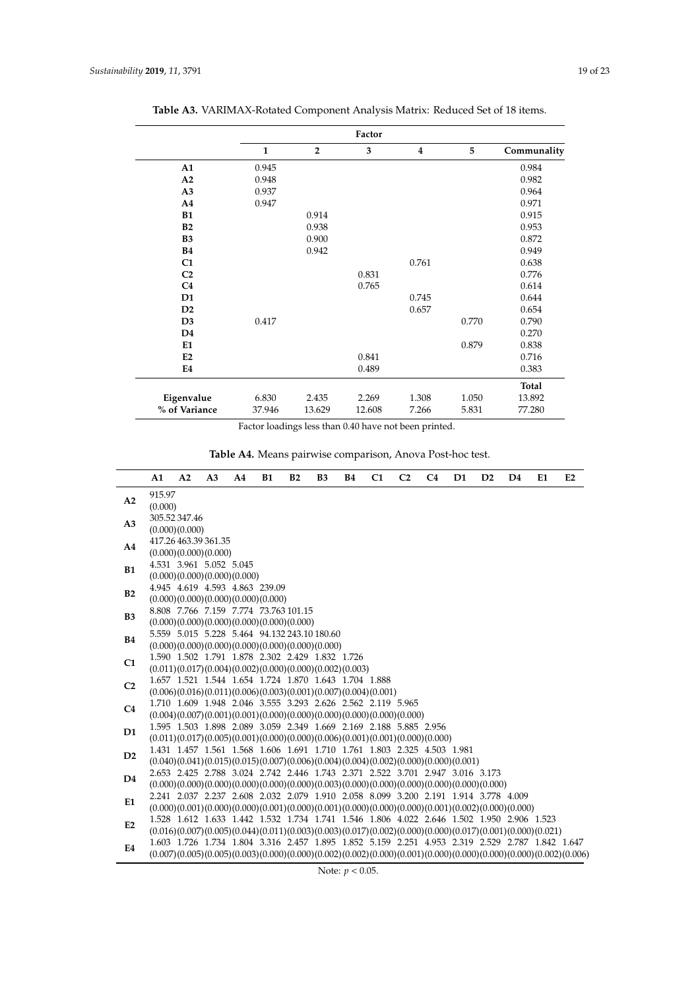<span id="page-18-0"></span>

|                |              |                | Factor |                         |       |             |
|----------------|--------------|----------------|--------|-------------------------|-------|-------------|
|                | $\mathbf{1}$ | $\overline{2}$ | 3      | $\overline{\mathbf{4}}$ | 5     | Communality |
| A1             | 0.945        |                |        |                         |       | 0.984       |
| A2             | 0.948        |                |        |                         |       | 0.982       |
| A3             | 0.937        |                |        |                         |       | 0.964       |
| A <sub>4</sub> | 0.947        |                |        |                         |       | 0.971       |
| <b>B1</b>      |              | 0.914          |        |                         |       | 0.915       |
| B <sub>2</sub> |              | 0.938          |        |                         |       | 0.953       |
| <b>B3</b>      |              | 0.900          |        |                         |       | 0.872       |
| <b>B</b> 4     |              | 0.942          |        |                         |       | 0.949       |
| C1             |              |                |        | 0.761                   |       | 0.638       |
| C <sub>2</sub> |              |                | 0.831  |                         |       | 0.776       |
| C <sub>4</sub> |              |                | 0.765  |                         |       | 0.614       |
| D <sub>1</sub> |              |                |        | 0.745                   |       | 0.644       |
| D2             |              |                |        | 0.657                   |       | 0.654       |
| D <sub>3</sub> | 0.417        |                |        |                         | 0.770 | 0.790       |
| D <sub>4</sub> |              |                |        |                         |       | 0.270       |
| E1             |              |                |        |                         | 0.879 | 0.838       |
| E2             |              |                | 0.841  |                         |       | 0.716       |
| E4             |              |                | 0.489  |                         |       | 0.383       |
|                |              |                |        |                         |       | Total       |
| Eigenvalue     | 6.830        | 2.435          | 2.269  | 1.308                   | 1.050 | 13.892      |
| % of Variance  | 37.946       | 13.629         | 12.608 | 7.266                   | 5.831 | 77.280      |

**Table A3.** VARIMAX-Rotated Component Analysis Matrix: Reduced Set of 18 items.

Factor loadings less than 0.40 have not been printed.

**Table A4.** Means pairwise comparison, Anova Post-hoc test.

<span id="page-18-1"></span>

|                | A1                | A2                                                                                                                                                                                                                    | A <sub>3</sub> | A4 | <b>B1</b> | B <sub>2</sub> | B <sub>3</sub> | <b>B4</b> | C1 | C <sub>2</sub> | C <sub>4</sub> | D1 | D2 | D4 | E1 | E2 |
|----------------|-------------------|-----------------------------------------------------------------------------------------------------------------------------------------------------------------------------------------------------------------------|----------------|----|-----------|----------------|----------------|-----------|----|----------------|----------------|----|----|----|----|----|
| A <sub>2</sub> | 915.97<br>(0.000) |                                                                                                                                                                                                                       |                |    |           |                |                |           |    |                |                |    |    |    |    |    |
| A <sub>3</sub> |                   | 305.52 347.46<br>(0.000)(0.000)                                                                                                                                                                                       |                |    |           |                |                |           |    |                |                |    |    |    |    |    |
| A <sub>4</sub> |                   | 417.26 463.39 361.35<br>(0.000)(0.000)(0.000)                                                                                                                                                                         |                |    |           |                |                |           |    |                |                |    |    |    |    |    |
| <b>B1</b>      |                   | 4.531 3.961 5.052 5.045<br>(0.000)(0.000)(0.000)(0.000)                                                                                                                                                               |                |    |           |                |                |           |    |                |                |    |    |    |    |    |
| B <sub>2</sub> |                   | 4.945 4.619 4.593 4.863 239.09<br>(0.000)(0.000)(0.000)(0.000)(0.000)                                                                                                                                                 |                |    |           |                |                |           |    |                |                |    |    |    |    |    |
| B <sub>3</sub> |                   | 8.808 7.766 7.159 7.774 73.763 101.15<br>$(0.000)(0.000)(0.000)(0.000)(0.000)(0.000)$                                                                                                                                 |                |    |           |                |                |           |    |                |                |    |    |    |    |    |
| <b>B4</b>      |                   | 5.559 5.015 5.228 5.464 94.132 243.10 180.60<br>$(0.000)(0.000)(0.000)(0.000)(0.000)(0.000)(0.000)$                                                                                                                   |                |    |           |                |                |           |    |                |                |    |    |    |    |    |
| C <sub>1</sub> |                   | 1.590 1.502 1.791 1.878 2.302 2.429 1.832 1.726<br>$(0.011)(0.017)(0.004)(0.002)(0.000)(0.000)(0.002)(0.003)$                                                                                                         |                |    |           |                |                |           |    |                |                |    |    |    |    |    |
| C <sub>2</sub> |                   | 1.657 1.521 1.544 1.654 1.724 1.870 1.643 1.704 1.888<br>$(0.006)(0.016)(0.011)(0.006)(0.003)(0.001)(0.007)(0.004)(0.001)$                                                                                            |                |    |           |                |                |           |    |                |                |    |    |    |    |    |
| C <sub>4</sub> |                   | 1.710 1.609 1.948 2.046 3.555 3.293 2.626 2.562 2.119 5.965<br>$(0.004)(0.007)(0.001)(0.001)(0.000)(0.000)(0.000)(0.000)(0.000)(0.000)$                                                                               |                |    |           |                |                |           |    |                |                |    |    |    |    |    |
| D <sub>1</sub> |                   | 1.595 1.503 1.898 2.089 3.059 2.349 1.669 2.169 2.188 5.885 2.956<br>$(0.011)(0.017)(0.005)(0.001)(0.000)(0.000)(0.006)(0.001)(0.001)(0.000)(0.000)$                                                                  |                |    |           |                |                |           |    |                |                |    |    |    |    |    |
| D2             |                   | 1.431 1.457 1.561 1.568 1.606 1.691 1.710 1.761 1.803 2.325 4.503 1.981<br>$(0.040)(0.041)(0.015)(0.015)(0.007)(0.006)(0.004)(0.004)(0.002)(0.000)(0.000)(0.001)$                                                     |                |    |           |                |                |           |    |                |                |    |    |    |    |    |
| D <sub>4</sub> |                   | 2.653 2.425 2.788 3.024 2.742 2.446 1.743 2.371 2.522 3.701 2.947 3.016 3.173<br>$(0.000)(0.000)(0.000)(0.000)(0.000)(0.000)(0.003)(0.000)(0.000)(0.000)(0.000)(0.000)(0.000)$                                        |                |    |           |                |                |           |    |                |                |    |    |    |    |    |
| E1             |                   | 2.241 2.037 2.237 2.608 2.032 2.079 1.910 2.058 8.099 3.200 2.191 1.914 3.778 4.009<br>$(0.000)(0.001)(0.000)(0.000)(0.001)(0.000)(0.001)(0.000)(0.000)(0.000)(0.001)(0.002)(0.000)(0.000)$                           |                |    |           |                |                |           |    |                |                |    |    |    |    |    |
| E2             |                   | 1.528 1.612 1.633 1.442 1.532 1.734 1.741 1.546 1.806 4.022 2.646 1.502 1.950 2.906 1.523<br>$(0.016)(0.007)(0.005)(0.044)(0.011)(0.003)(0.003)(0.017)(0.002)(0.000)(0.000)(0.017)(0.001)(0.000)(0.021)$              |                |    |           |                |                |           |    |                |                |    |    |    |    |    |
| E4             |                   | 1.603 1.726 1.734 1.804 3.316 2.457 1.895 1.852 5.159 2.251 4.953 2.319 2.529 2.787 1.842 1.647<br>$(0.007)(0.005)(0.005)(0.003)(0.000)(0.000)(0.002)(0.002)(0.000)(0.001)(0.000)(0.000)(0.000)(0.000)(0.002)(0.006)$ |                |    |           |                |                |           |    |                |                |    |    |    |    |    |

(0.002) Note: *p* < 0.05.

(0.006)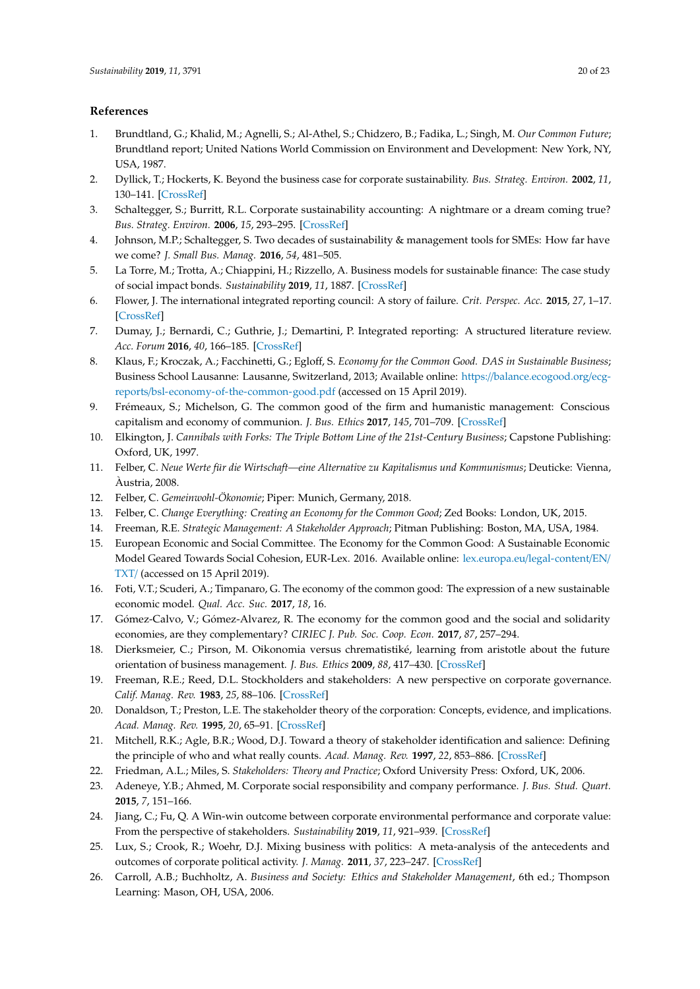#### **References**

- <span id="page-19-0"></span>1. Brundtland, G.; Khalid, M.; Agnelli, S.; Al-Athel, S.; Chidzero, B.; Fadika, L.; Singh, M. *Our Common Future*; Brundtland report; United Nations World Commission on Environment and Development: New York, NY, USA, 1987.
- <span id="page-19-1"></span>2. Dyllick, T.; Hockerts, K. Beyond the business case for corporate sustainability. *Bus. Strateg. Environ.* **2002**, *11*, 130–141. [\[CrossRef\]](http://dx.doi.org/10.1002/bse.323)
- 3. Schaltegger, S.; Burritt, R.L. Corporate sustainability accounting: A nightmare or a dream coming true? *Bus. Strateg. Environ.* **2006**, *15*, 293–295. [\[CrossRef\]](http://dx.doi.org/10.1002/bse.537)
- <span id="page-19-2"></span>4. Johnson, M.P.; Schaltegger, S. Two decades of sustainability & management tools for SMEs: How far have we come? *J. Small Bus. Manag.* **2016**, *54*, 481–505.
- <span id="page-19-3"></span>5. La Torre, M.; Trotta, A.; Chiappini, H.; Rizzello, A. Business models for sustainable finance: The case study of social impact bonds. *Sustainability* **2019**, *11*, 1887. [\[CrossRef\]](http://dx.doi.org/10.3390/su11071887)
- <span id="page-19-4"></span>6. Flower, J. The international integrated reporting council: A story of failure. *Crit. Perspec. Acc.* **2015**, *27*, 1–17. [\[CrossRef\]](http://dx.doi.org/10.1016/j.cpa.2014.07.002)
- <span id="page-19-5"></span>7. Dumay, J.; Bernardi, C.; Guthrie, J.; Demartini, P. Integrated reporting: A structured literature review. *Acc. Forum* **2016**, *40*, 166–185. [\[CrossRef\]](http://dx.doi.org/10.1016/j.accfor.2016.06.001)
- <span id="page-19-6"></span>8. Klaus, F.; Kroczak, A.; Facchinetti, G.; Egloff, S. *Economy for the Common Good. DAS in Sustainable Business*; Business School Lausanne: Lausanne, Switzerland, 2013; Available online: https://[balance.ecogood.org](https://balance.ecogood.org/ecg-reports/bsl-economy-of-the-common-good.pdf)/ecgreports/[bsl-economy-of-the-common-good.pdf](https://balance.ecogood.org/ecg-reports/bsl-economy-of-the-common-good.pdf) (accessed on 15 April 2019).
- <span id="page-19-7"></span>9. Frémeaux, S.; Michelson, G. The common good of the firm and humanistic management: Conscious capitalism and economy of communion. *J. Bus. Ethics* **2017**, *145*, 701–709. [\[CrossRef\]](http://dx.doi.org/10.1007/s10551-016-3118-6)
- <span id="page-19-8"></span>10. Elkington, J. *Cannibals with Forks: The Triple Bottom Line of the 21st-Century Business*; Capstone Publishing: Oxford, UK, 1997.
- <span id="page-19-9"></span>11. Felber, C. *Neue Werte für die Wirtschaft—eine Alternative zu Kapitalismus und Kommunismus*; Deuticke: Vienna, Àustria, 2008.
- <span id="page-19-10"></span>12. Felber, C. *Gemeinwohl-Ökonomie*; Piper: Munich, Germany, 2018.
- <span id="page-19-11"></span>13. Felber, C. *Change Everything: Creating an Economy for the Common Good*; Zed Books: London, UK, 2015.
- <span id="page-19-12"></span>14. Freeman, R.E. *Strategic Management: A Stakeholder Approach*; Pitman Publishing: Boston, MA, USA, 1984.
- <span id="page-19-13"></span>15. European Economic and Social Committee. The Economy for the Common Good: A Sustainable Economic Model Geared Towards Social Cohesion, EUR-Lex. 2016. Available online: [lex.europa.eu](lex.europa.eu/legal-content/EN/TXT/)/legal-content/EN/ [TXT](lex.europa.eu/legal-content/EN/TXT/)/ (accessed on 15 April 2019).
- <span id="page-19-14"></span>16. Foti, V.T.; Scuderi, A.; Timpanaro, G. The economy of the common good: The expression of a new sustainable economic model. *Qual. Acc. Suc.* **2017**, *18*, 16.
- <span id="page-19-15"></span>17. Gómez-Calvo, V.; Gómez-Alvarez, R. The economy for the common good and the social and solidarity economies, are they complementary? *CIRIEC J. Pub. Soc. Coop. Econ.* **2017**, *87*, 257–294.
- <span id="page-19-16"></span>18. Dierksmeier, C.; Pirson, M. Oikonomia versus chrematistiké, learning from aristotle about the future orientation of business management. *J. Bus. Ethics* **2009**, *88*, 417–430. [\[CrossRef\]](http://dx.doi.org/10.1007/s10551-009-0128-7)
- <span id="page-19-17"></span>19. Freeman, R.E.; Reed, D.L. Stockholders and stakeholders: A new perspective on corporate governance. *Calif. Manag. Rev.* **1983**, *25*, 88–106. [\[CrossRef\]](http://dx.doi.org/10.2307/41165018)
- 20. Donaldson, T.; Preston, L.E. The stakeholder theory of the corporation: Concepts, evidence, and implications. *Acad. Manag. Rev.* **1995**, *20*, 65–91. [\[CrossRef\]](http://dx.doi.org/10.5465/amr.1995.9503271992)
- 21. Mitchell, R.K.; Agle, B.R.; Wood, D.J. Toward a theory of stakeholder identification and salience: Defining the principle of who and what really counts. *Acad. Manag. Rev.* **1997**, *22*, 853–886. [\[CrossRef\]](http://dx.doi.org/10.5465/amr.1997.9711022105)
- <span id="page-19-18"></span>22. Friedman, A.L.; Miles, S. *Stakeholders: Theory and Practice*; Oxford University Press: Oxford, UK, 2006.
- <span id="page-19-19"></span>23. Adeneye, Y.B.; Ahmed, M. Corporate social responsibility and company performance. *J. Bus. Stud. Quart.* **2015**, *7*, 151–166.
- <span id="page-19-20"></span>24. Jiang, C.; Fu, Q. A Win-win outcome between corporate environmental performance and corporate value: From the perspective of stakeholders. *Sustainability* **2019**, *11*, 921–939. [\[CrossRef\]](http://dx.doi.org/10.3390/su11030921)
- <span id="page-19-21"></span>25. Lux, S.; Crook, R.; Woehr, D.J. Mixing business with politics: A meta-analysis of the antecedents and outcomes of corporate political activity. *J. Manag.* **2011**, *37*, 223–247. [\[CrossRef\]](http://dx.doi.org/10.1177/0149206310392233)
- <span id="page-19-22"></span>26. Carroll, A.B.; Buchholtz, A. *Business and Society: Ethics and Stakeholder Management*, 6th ed.; Thompson Learning: Mason, OH, USA, 2006.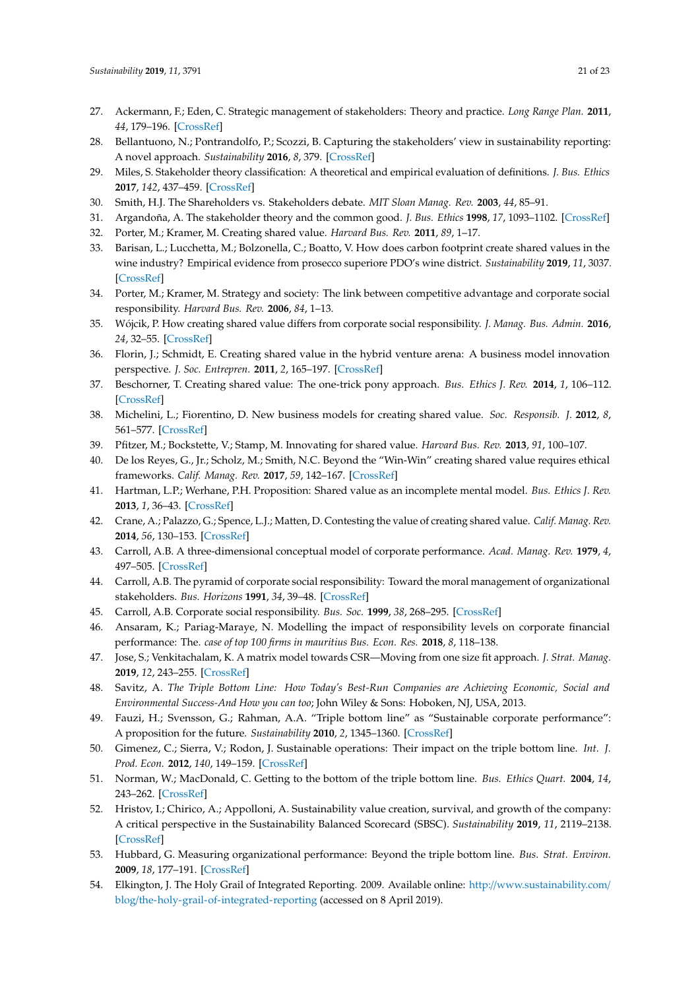- <span id="page-20-0"></span>27. Ackermann, F.; Eden, C. Strategic management of stakeholders: Theory and practice. *Long Range Plan.* **2011**, *44*, 179–196. [\[CrossRef\]](http://dx.doi.org/10.1016/j.lrp.2010.08.001)
- <span id="page-20-1"></span>28. Bellantuono, N.; Pontrandolfo, P.; Scozzi, B. Capturing the stakeholders' view in sustainability reporting: A novel approach. *Sustainability* **2016**, *8*, 379. [\[CrossRef\]](http://dx.doi.org/10.3390/su8040379)
- <span id="page-20-2"></span>29. Miles, S. Stakeholder theory classification: A theoretical and empirical evaluation of definitions. *J. Bus. Ethics* **2017**, *142*, 437–459. [\[CrossRef\]](http://dx.doi.org/10.1007/s10551-015-2741-y)
- <span id="page-20-3"></span>30. Smith, H.J. The Shareholders vs. Stakeholders debate. *MIT Sloan Manag. Rev.* **2003**, *44*, 85–91.
- <span id="page-20-4"></span>31. Argandoña, A. The stakeholder theory and the common good. *J. Bus. Ethics* **1998**, *17*, 1093–1102. [\[CrossRef\]](http://dx.doi.org/10.1023/A:1006075517423)
- <span id="page-20-5"></span>32. Porter, M.; Kramer, M. Creating shared value. *Harvard Bus. Rev.* **2011**, *89*, 1–17.
- <span id="page-20-6"></span>33. Barisan, L.; Lucchetta, M.; Bolzonella, C.; Boatto, V. How does carbon footprint create shared values in the wine industry? Empirical evidence from prosecco superiore PDO's wine district. *Sustainability* **2019**, *11*, 3037. [\[CrossRef\]](http://dx.doi.org/10.3390/su11113037)
- <span id="page-20-7"></span>34. Porter, M.; Kramer, M. Strategy and society: The link between competitive advantage and corporate social responsibility. *Harvard Bus. Rev.* **2006**, *84*, 1–13.
- <span id="page-20-8"></span>35. Wójcik, P. How creating shared value differs from corporate social responsibility. *J. Manag. Bus. Admin.* **2016**, *24*, 32–55. [\[CrossRef\]](http://dx.doi.org/10.7206/jmba.ce.2450-7814.168)
- <span id="page-20-9"></span>36. Florin, J.; Schmidt, E. Creating shared value in the hybrid venture arena: A business model innovation perspective. *J. Soc. Entrepren.* **2011**, *2*, 165–197. [\[CrossRef\]](http://dx.doi.org/10.1080/19420676.2011.614631)
- <span id="page-20-10"></span>37. Beschorner, T. Creating shared value: The one-trick pony approach. *Bus. Ethics J. Rev.* **2014**, *1*, 106–112. [\[CrossRef\]](http://dx.doi.org/10.12747/bejr2013.01.17)
- <span id="page-20-11"></span>38. Michelini, L.; Fiorentino, D. New business models for creating shared value. *Soc. Responsib. J.* **2012**, *8*, 561–577. [\[CrossRef\]](http://dx.doi.org/10.1108/17471111211272129)
- <span id="page-20-12"></span>39. Pfitzer, M.; Bockstette, V.; Stamp, M. Innovating for shared value. *Harvard Bus. Rev.* **2013**, *91*, 100–107.
- <span id="page-20-13"></span>40. De los Reyes, G., Jr.; Scholz, M.; Smith, N.C. Beyond the "Win-Win" creating shared value requires ethical frameworks. *Calif. Manag. Rev.* **2017**, *59*, 142–167. [\[CrossRef\]](http://dx.doi.org/10.1177/0008125617695286)
- <span id="page-20-14"></span>41. Hartman, L.P.; Werhane, P.H. Proposition: Shared value as an incomplete mental model. *Bus. Ethics J. Rev.* **2013**, *1*, 36–43. [\[CrossRef\]](http://dx.doi.org/10.12747/bejr2013.01.02)
- <span id="page-20-15"></span>42. Crane, A.; Palazzo, G.; Spence, L.J.; Matten, D. Contesting the value of creating shared value. *Calif. Manag. Rev.* **2014**, *56*, 130–153. [\[CrossRef\]](http://dx.doi.org/10.1525/cmr.2014.56.2.130)
- <span id="page-20-16"></span>43. Carroll, A.B. A three-dimensional conceptual model of corporate performance. *Acad. Manag. Rev.* **1979**, *4*, 497–505. [\[CrossRef\]](http://dx.doi.org/10.5465/amr.1979.4498296)
- 44. Carroll, A.B. The pyramid of corporate social responsibility: Toward the moral management of organizational stakeholders. *Bus. Horizons* **1991**, *34*, 39–48. [\[CrossRef\]](http://dx.doi.org/10.1016/0007-6813(91)90005-G)
- <span id="page-20-17"></span>45. Carroll, A.B. Corporate social responsibility. *Bus. Soc.* **1999**, *38*, 268–295. [\[CrossRef\]](http://dx.doi.org/10.1177/000765039903800303)
- <span id="page-20-18"></span>46. Ansaram, K.; Pariag-Maraye, N. Modelling the impact of responsibility levels on corporate financial performance: The. *case of top 100 firms in mauritius Bus. Econ. Res.* **2018**, *8*, 118–138.
- <span id="page-20-19"></span>47. Jose, S.; Venkitachalam, K. A matrix model towards CSR—Moving from one size fit approach. *J. Strat. Manag.* **2019**, *12*, 243–255. [\[CrossRef\]](http://dx.doi.org/10.1108/JSMA-07-2018-0071)
- <span id="page-20-20"></span>48. Savitz, A. *The Triple Bottom Line: How Today's Best-Run Companies are Achieving Economic, Social and Environmental Success-And How you can too*; John Wiley & Sons: Hoboken, NJ, USA, 2013.
- <span id="page-20-21"></span>49. Fauzi, H.; Svensson, G.; Rahman, A.A. "Triple bottom line" as "Sustainable corporate performance": A proposition for the future. *Sustainability* **2010**, *2*, 1345–1360. [\[CrossRef\]](http://dx.doi.org/10.3390/su2051345)
- <span id="page-20-22"></span>50. Gimenez, C.; Sierra, V.; Rodon, J. Sustainable operations: Their impact on the triple bottom line. *Int. J. Prod. Econ.* **2012**, *140*, 149–159. [\[CrossRef\]](http://dx.doi.org/10.1016/j.ijpe.2012.01.035)
- <span id="page-20-23"></span>51. Norman, W.; MacDonald, C. Getting to the bottom of the triple bottom line. *Bus. Ethics Quart.* **2004**, *14*, 243–262. [\[CrossRef\]](http://dx.doi.org/10.5840/beq200414211)
- <span id="page-20-24"></span>52. Hristov, I.; Chirico, A.; Appolloni, A. Sustainability value creation, survival, and growth of the company: A critical perspective in the Sustainability Balanced Scorecard (SBSC). *Sustainability* **2019**, *11*, 2119–2138. [\[CrossRef\]](http://dx.doi.org/10.3390/su11072119)
- <span id="page-20-25"></span>53. Hubbard, G. Measuring organizational performance: Beyond the triple bottom line. *Bus. Strat. Environ.* **2009**, *18*, 177–191. [\[CrossRef\]](http://dx.doi.org/10.1002/bse.564)
- <span id="page-20-26"></span>54. Elkington, J. The Holy Grail of Integrated Reporting. 2009. Available online: http://[www.sustainability.com](http://www.sustainability.com/blog/the-holy-grail-of-integrated-reporting)/ blog/[the-holy-grail-of-integrated-reporting](http://www.sustainability.com/blog/the-holy-grail-of-integrated-reporting) (accessed on 8 April 2019).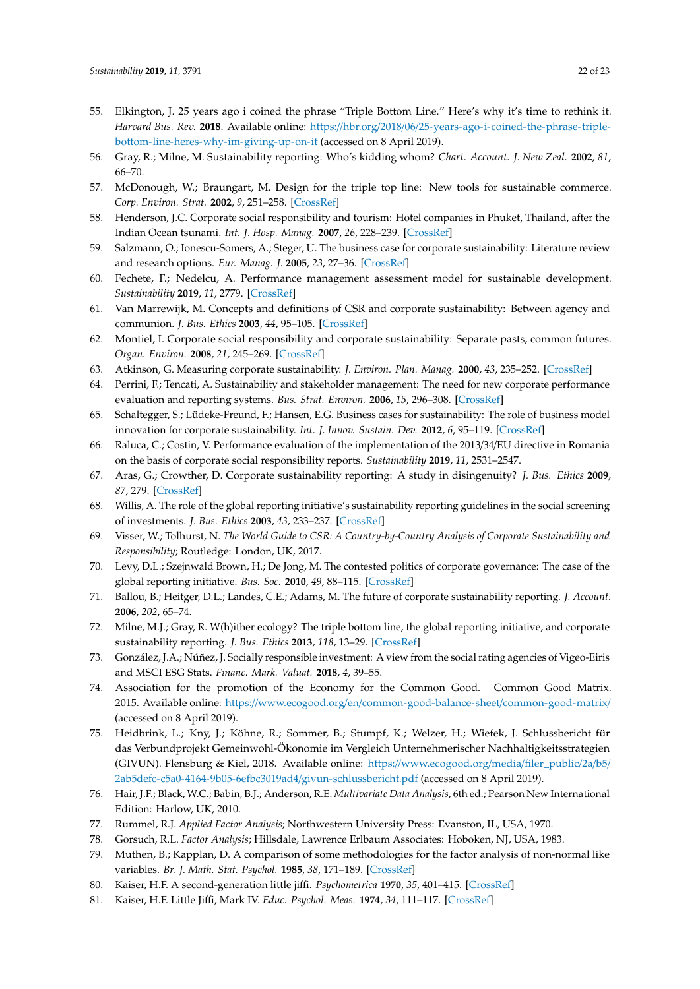- <span id="page-21-0"></span>55. Elkington, J. 25 years ago i coined the phrase "Triple Bottom Line." Here's why it's time to rethink it. *Harvard Bus. Rev.* **2018**. Available online: https://hbr.org/2018/06/[25-years-ago-i-coined-the-phrase-triple](https://hbr.org/2018/06/25-years-ago-i-coined-the-phrase-triple-bottom-line-heres-why-im-giving-up-on-it)[bottom-line-heres-why-im-giving-up-on-it](https://hbr.org/2018/06/25-years-ago-i-coined-the-phrase-triple-bottom-line-heres-why-im-giving-up-on-it) (accessed on 8 April 2019).
- <span id="page-21-1"></span>56. Gray, R.; Milne, M. Sustainability reporting: Who's kidding whom? *Chart. Account. J. New Zeal.* **2002**, *81*, 66–70.
- <span id="page-21-2"></span>57. McDonough, W.; Braungart, M. Design for the triple top line: New tools for sustainable commerce. *Corp. Environ. Strat.* **2002**, *9*, 251–258. [\[CrossRef\]](http://dx.doi.org/10.1016/S1066-7938(02)00069-6)
- <span id="page-21-3"></span>58. Henderson, J.C. Corporate social responsibility and tourism: Hotel companies in Phuket, Thailand, after the Indian Ocean tsunami. *Int. J. Hosp. Manag.* **2007**, *26*, 228–239. [\[CrossRef\]](http://dx.doi.org/10.1016/j.ijhm.2006.02.001)
- <span id="page-21-4"></span>59. Salzmann, O.; Ionescu-Somers, A.; Steger, U. The business case for corporate sustainability: Literature review and research options. *Eur. Manag. J.* **2005**, *23*, 27–36. [\[CrossRef\]](http://dx.doi.org/10.1016/j.emj.2004.12.007)
- <span id="page-21-5"></span>60. Fechete, F.; Nedelcu, A. Performance management assessment model for sustainable development. *Sustainability* **2019**, *11*, 2779. [\[CrossRef\]](http://dx.doi.org/10.3390/su11102779)
- <span id="page-21-6"></span>61. Van Marrewijk, M. Concepts and definitions of CSR and corporate sustainability: Between agency and communion. *J. Bus. Ethics* **2003**, *44*, 95–105. [\[CrossRef\]](http://dx.doi.org/10.1023/A:1023331212247)
- <span id="page-21-7"></span>62. Montiel, I. Corporate social responsibility and corporate sustainability: Separate pasts, common futures. *Organ. Environ.* **2008**, *21*, 245–269. [\[CrossRef\]](http://dx.doi.org/10.1177/1086026608321329)
- <span id="page-21-8"></span>63. Atkinson, G. Measuring corporate sustainability. *J. Environ. Plan. Manag.* **2000**, *43*, 235–252. [\[CrossRef\]](http://dx.doi.org/10.1080/09640560010694)
- <span id="page-21-9"></span>64. Perrini, F.; Tencati, A. Sustainability and stakeholder management: The need for new corporate performance evaluation and reporting systems. *Bus. Strat. Environ.* **2006**, *15*, 296–308. [\[CrossRef\]](http://dx.doi.org/10.1002/bse.538)
- <span id="page-21-10"></span>65. Schaltegger, S.; Lüdeke-Freund, F.; Hansen, E.G. Business cases for sustainability: The role of business model innovation for corporate sustainability. *Int. J. Innov. Sustain. Dev.* **2012**, *6*, 95–119. [\[CrossRef\]](http://dx.doi.org/10.1504/IJISD.2012.046944)
- <span id="page-21-11"></span>66. Raluca, C.; Costin, V. Performance evaluation of the implementation of the 2013/34/EU directive in Romania on the basis of corporate social responsibility reports. *Sustainability* **2019**, *11*, 2531–2547.
- <span id="page-21-12"></span>67. Aras, G.; Crowther, D. Corporate sustainability reporting: A study in disingenuity? *J. Bus. Ethics* **2009**, *87*, 279. [\[CrossRef\]](http://dx.doi.org/10.1007/s10551-008-9806-0)
- <span id="page-21-13"></span>68. Willis, A. The role of the global reporting initiative's sustainability reporting guidelines in the social screening of investments. *J. Bus. Ethics* **2003**, *43*, 233–237. [\[CrossRef\]](http://dx.doi.org/10.1023/A:1022958618391)
- <span id="page-21-14"></span>69. Visser, W.; Tolhurst, N. *The World Guide to CSR: A Country-by-Country Analysis of Corporate Sustainability and Responsibility*; Routledge: London, UK, 2017.
- <span id="page-21-15"></span>70. Levy, D.L.; Szejnwald Brown, H.; De Jong, M. The contested politics of corporate governance: The case of the global reporting initiative. *Bus. Soc.* **2010**, *49*, 88–115. [\[CrossRef\]](http://dx.doi.org/10.1177/0007650309345420)
- <span id="page-21-16"></span>71. Ballou, B.; Heitger, D.L.; Landes, C.E.; Adams, M. The future of corporate sustainability reporting. *J. Account.* **2006**, *202*, 65–74.
- <span id="page-21-17"></span>72. Milne, M.J.; Gray, R. W(h)ither ecology? The triple bottom line, the global reporting initiative, and corporate sustainability reporting. *J. Bus. Ethics* **2013**, *118*, 13–29. [\[CrossRef\]](http://dx.doi.org/10.1007/s10551-012-1543-8)
- <span id="page-21-18"></span>73. González, J.A.; Núñez, J. Socially responsible investment: A view from the social rating agencies of Vigeo-Eiris and MSCI ESG Stats. *Financ. Mark. Valuat.* **2018**, *4*, 39–55.
- <span id="page-21-19"></span>74. Association for the promotion of the Economy for the Common Good. Common Good Matrix. 2015. Available online: https://www.ecogood.org/en/[common-good-balance-sheet](https://www.ecogood.org/en/common-good-balance-sheet/common-good-matrix/)/common-good-matrix/ (accessed on 8 April 2019).
- <span id="page-21-20"></span>75. Heidbrink, L.; Kny, J.; Köhne, R.; Sommer, B.; Stumpf, K.; Welzer, H.; Wiefek, J. Schlussbericht für das Verbundprojekt Gemeinwohl-Ökonomie im Vergleich Unternehmerischer Nachhaltigkeitsstrategien (GIVUN). Flensburg & Kiel, 2018. Available online: https://[www.ecogood.org](https://www.ecogood.org/media/filer_public/2a/b5/2ab5defc-c5a0-4164-9b05-6efbc3019ad4/givun-schlussbericht.pdf)/media/filer\_public/2a/b5/ [2ab5defc-c5a0-4164-9b05-6efbc3019ad4](https://www.ecogood.org/media/filer_public/2a/b5/2ab5defc-c5a0-4164-9b05-6efbc3019ad4/givun-schlussbericht.pdf)/givun-schlussbericht.pdf (accessed on 8 April 2019).
- <span id="page-21-21"></span>76. Hair, J.F.; Black, W.C.; Babin, B.J.; Anderson, R.E. *Multivariate Data Analysis*, 6th ed.; Pearson New International Edition: Harlow, UK, 2010.
- <span id="page-21-22"></span>77. Rummel, R.J. *Applied Factor Analysis*; Northwestern University Press: Evanston, IL, USA, 1970.
- <span id="page-21-23"></span>78. Gorsuch, R.L. *Factor Analysis*; Hillsdale, Lawrence Erlbaum Associates: Hoboken, NJ, USA, 1983.
- <span id="page-21-24"></span>79. Muthen, B.; Kapplan, D. A comparison of some methodologies for the factor analysis of non-normal like variables. *Br. J. Math. Stat. Psychol.* **1985**, *38*, 171–189. [\[CrossRef\]](http://dx.doi.org/10.1111/j.2044-8317.1985.tb00832.x)
- <span id="page-21-25"></span>80. Kaiser, H.F. A second-generation little jiffi. *Psychometrica* **1970**, *35*, 401–415. [\[CrossRef\]](http://dx.doi.org/10.1007/BF02291817)
- <span id="page-21-26"></span>81. Kaiser, H.F. Little Jiffi, Mark IV. *Educ. Psychol. Meas.* **1974**, *34*, 111–117. [\[CrossRef\]](http://dx.doi.org/10.1177/001316447403400115)